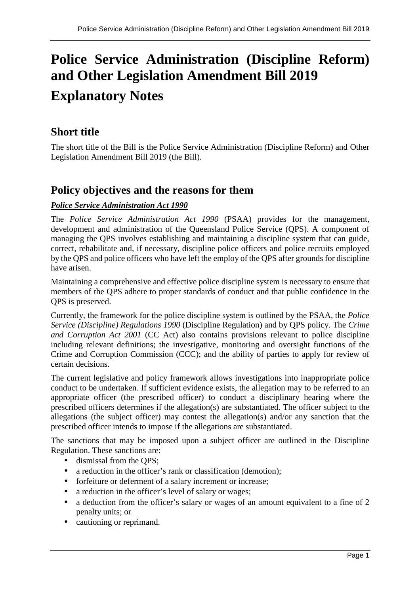# **Police Service Administration (Discipline Reform) and Other Legislation Amendment Bill 2019 Explanatory Notes**

# **Short title**

The short title of the Bill is the Police Service Administration (Discipline Reform) and Other Legislation Amendment Bill 2019 (the Bill).

# **Policy objectives and the reasons for them**

# *Police Service Administration Act 1990*

The *Police Service Administration Act 1990* (PSAA) provides for the management, development and administration of the Queensland Police Service (QPS). A component of managing the QPS involves establishing and maintaining a discipline system that can guide, correct, rehabilitate and, if necessary, discipline police officers and police recruits employed by the QPS and police officers who have left the employ of the QPS after grounds for discipline have arisen.

Maintaining a comprehensive and effective police discipline system is necessary to ensure that members of the QPS adhere to proper standards of conduct and that public confidence in the QPS is preserved.

Currently, the framework for the police discipline system is outlined by the PSAA, the *Police Service (Discipline) Regulations 1990* (Discipline Regulation) and by QPS policy. The *Crime and Corruption Act 2001* (CC Act) also contains provisions relevant to police discipline including relevant definitions; the investigative, monitoring and oversight functions of the Crime and Corruption Commission (CCC); and the ability of parties to apply for review of certain decisions.

The current legislative and policy framework allows investigations into inappropriate police conduct to be undertaken. If sufficient evidence exists, the allegation may to be referred to an appropriate officer (the prescribed officer) to conduct a disciplinary hearing where the prescribed officers determines if the allegation(s) are substantiated. The officer subject to the allegations (the subject officer) may contest the allegation(s) and/or any sanction that the prescribed officer intends to impose if the allegations are substantiated.

The sanctions that may be imposed upon a subject officer are outlined in the Discipline Regulation. These sanctions are:

- dismissal from the OPS:
- a reduction in the officer's rank or classification (demotion);
- forfeiture or deferment of a salary increment or increase;
- a reduction in the officer's level of salary or wages;
- a deduction from the officer's salary or wages of an amount equivalent to a fine of 2 penalty units; or
- cautioning or reprimand.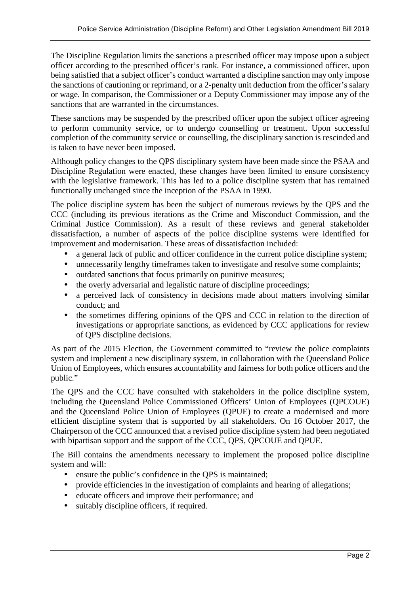The Discipline Regulation limits the sanctions a prescribed officer may impose upon a subject officer according to the prescribed officer's rank. For instance, a commissioned officer, upon being satisfied that a subject officer's conduct warranted a discipline sanction may only impose the sanctions of cautioning or reprimand, or a 2-penalty unit deduction from the officer's salary or wage. In comparison, the Commissioner or a Deputy Commissioner may impose any of the sanctions that are warranted in the circumstances.

These sanctions may be suspended by the prescribed officer upon the subject officer agreeing to perform community service, or to undergo counselling or treatment. Upon successful completion of the community service or counselling, the disciplinary sanction is rescinded and is taken to have never been imposed.

Although policy changes to the QPS disciplinary system have been made since the PSAA and Discipline Regulation were enacted, these changes have been limited to ensure consistency with the legislative framework. This has led to a police discipline system that has remained functionally unchanged since the inception of the PSAA in 1990.

The police discipline system has been the subject of numerous reviews by the QPS and the CCC (including its previous iterations as the Crime and Misconduct Commission, and the Criminal Justice Commission). As a result of these reviews and general stakeholder dissatisfaction, a number of aspects of the police discipline systems were identified for improvement and modernisation. These areas of dissatisfaction included:

- a general lack of public and officer confidence in the current police discipline system;
- unnecessarily lengthy timeframes taken to investigate and resolve some complaints;
- outdated sanctions that focus primarily on punitive measures:
- the overly adversarial and legalistic nature of discipline proceedings;
- a perceived lack of consistency in decisions made about matters involving similar conduct; and
- the sometimes differing opinions of the QPS and CCC in relation to the direction of investigations or appropriate sanctions, as evidenced by CCC applications for review of QPS discipline decisions.

As part of the 2015 Election, the Government committed to "review the police complaints system and implement a new disciplinary system, in collaboration with the Queensland Police Union of Employees, which ensures accountability and fairness for both police officers and the public."

The QPS and the CCC have consulted with stakeholders in the police discipline system, including the Queensland Police Commissioned Officers' Union of Employees (QPCOUE) and the Queensland Police Union of Employees (QPUE) to create a modernised and more efficient discipline system that is supported by all stakeholders. On 16 October 2017, the Chairperson of the CCC announced that a revised police discipline system had been negotiated with bipartisan support and the support of the CCC, QPS, QPCOUE and QPUE.

The Bill contains the amendments necessary to implement the proposed police discipline system and will:

- ensure the public's confidence in the OPS is maintained;
- provide efficiencies in the investigation of complaints and hearing of allegations;
- educate officers and improve their performance; and
- suitably discipline officers, if required.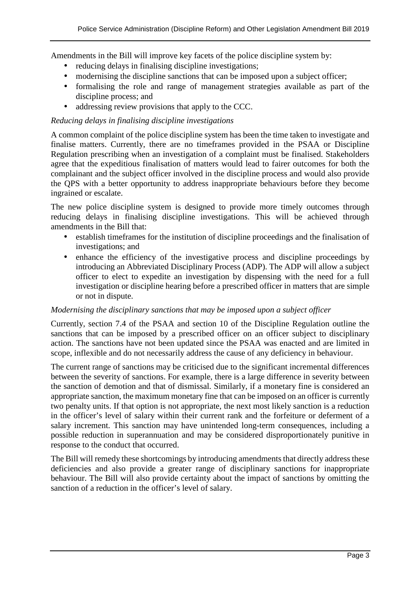Amendments in the Bill will improve key facets of the police discipline system by:

- reducing delays in finalising discipline investigations;
- modernising the discipline sanctions that can be imposed upon a subject officer;
- formalising the role and range of management strategies available as part of the discipline process; and
- addressing review provisions that apply to the CCC.

#### *Reducing delays in finalising discipline investigations*

A common complaint of the police discipline system has been the time taken to investigate and finalise matters. Currently, there are no timeframes provided in the PSAA or Discipline Regulation prescribing when an investigation of a complaint must be finalised. Stakeholders agree that the expeditious finalisation of matters would lead to fairer outcomes for both the complainant and the subject officer involved in the discipline process and would also provide the QPS with a better opportunity to address inappropriate behaviours before they become ingrained or escalate.

The new police discipline system is designed to provide more timely outcomes through reducing delays in finalising discipline investigations. This will be achieved through amendments in the Bill that:

- establish timeframes for the institution of discipline proceedings and the finalisation of investigations; and
- enhance the efficiency of the investigative process and discipline proceedings by introducing an Abbreviated Disciplinary Process (ADP). The ADP will allow a subject officer to elect to expedite an investigation by dispensing with the need for a full investigation or discipline hearing before a prescribed officer in matters that are simple or not in dispute.

#### *Modernising the disciplinary sanctions that may be imposed upon a subject officer*

Currently, section 7.4 of the PSAA and section 10 of the Discipline Regulation outline the sanctions that can be imposed by a prescribed officer on an officer subject to disciplinary action. The sanctions have not been updated since the PSAA was enacted and are limited in scope, inflexible and do not necessarily address the cause of any deficiency in behaviour.

The current range of sanctions may be criticised due to the significant incremental differences between the severity of sanctions. For example, there is a large difference in severity between the sanction of demotion and that of dismissal. Similarly, if a monetary fine is considered an appropriate sanction, the maximum monetary fine that can be imposed on an officer is currently two penalty units. If that option is not appropriate, the next most likely sanction is a reduction in the officer's level of salary within their current rank and the forfeiture or deferment of a salary increment. This sanction may have unintended long-term consequences, including a possible reduction in superannuation and may be considered disproportionately punitive in response to the conduct that occurred.

The Bill will remedy these shortcomings by introducing amendments that directly address these deficiencies and also provide a greater range of disciplinary sanctions for inappropriate behaviour. The Bill will also provide certainty about the impact of sanctions by omitting the sanction of a reduction in the officer's level of salary.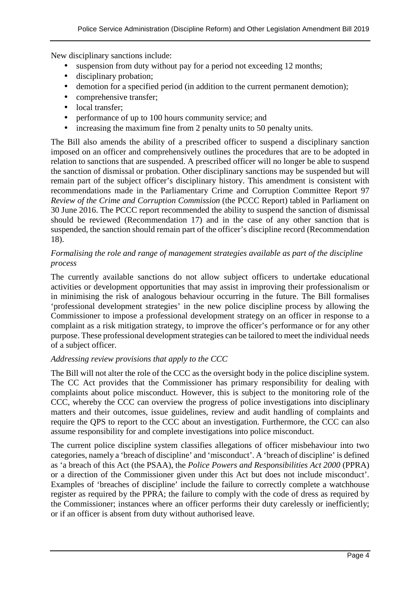New disciplinary sanctions include:

- suspension from duty without pay for a period not exceeding 12 months;
- disciplinary probation;
- demotion for a specified period (in addition to the current permanent demotion);
- comprehensive transfer;
- local transfer:
- performance of up to 100 hours community service; and
- increasing the maximum fine from 2 penalty units to 50 penalty units.

The Bill also amends the ability of a prescribed officer to suspend a disciplinary sanction imposed on an officer and comprehensively outlines the procedures that are to be adopted in relation to sanctions that are suspended. A prescribed officer will no longer be able to suspend the sanction of dismissal or probation. Other disciplinary sanctions may be suspended but will remain part of the subject officer's disciplinary history. This amendment is consistent with recommendations made in the Parliamentary Crime and Corruption Committee Report 97 *Review of the Crime and Corruption Commission* (the PCCC Report) tabled in Parliament on 30 June 2016. The PCCC report recommended the ability to suspend the sanction of dismissal should be reviewed (Recommendation 17) and in the case of any other sanction that is suspended, the sanction should remain part of the officer's discipline record (Recommendation 18).

#### *Formalising the role and range of management strategies available as part of the discipline process*

The currently available sanctions do not allow subject officers to undertake educational activities or development opportunities that may assist in improving their professionalism or in minimising the risk of analogous behaviour occurring in the future. The Bill formalises 'professional development strategies' in the new police discipline process by allowing the Commissioner to impose a professional development strategy on an officer in response to a complaint as a risk mitigation strategy, to improve the officer's performance or for any other purpose. These professional development strategies can be tailored to meet the individual needs of a subject officer.

#### *Addressing review provisions that apply to the CCC*

The Bill will not alter the role of the CCC as the oversight body in the police discipline system. The CC Act provides that the Commissioner has primary responsibility for dealing with complaints about police misconduct. However, this is subject to the monitoring role of the CCC, whereby the CCC can overview the progress of police investigations into disciplinary matters and their outcomes, issue guidelines, review and audit handling of complaints and require the QPS to report to the CCC about an investigation. Furthermore, the CCC can also assume responsibility for and complete investigations into police misconduct.

The current police discipline system classifies allegations of officer misbehaviour into two categories, namely a 'breach of discipline' and 'misconduct'. A 'breach of discipline' is defined as 'a breach of this Act (the PSAA), the *Police Powers and Responsibilities Act 2000* (PPRA) or a direction of the Commissioner given under this Act but does not include misconduct'. Examples of 'breaches of discipline' include the failure to correctly complete a watchhouse register as required by the PPRA; the failure to comply with the code of dress as required by the Commissioner; instances where an officer performs their duty carelessly or inefficiently; or if an officer is absent from duty without authorised leave.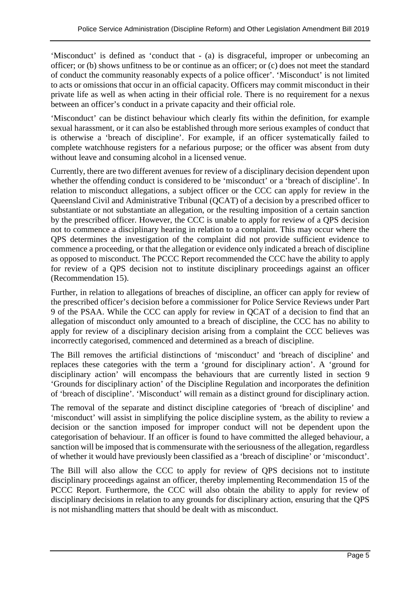'Misconduct' is defined as 'conduct that - (a) is disgraceful, improper or unbecoming an officer; or (b) shows unfitness to be or continue as an officer; or (c) does not meet the standard of conduct the community reasonably expects of a police officer'. 'Misconduct' is not limited to acts or omissions that occur in an official capacity. Officers may commit misconduct in their private life as well as when acting in their official role. There is no requirement for a nexus between an officer's conduct in a private capacity and their official role.

'Misconduct' can be distinct behaviour which clearly fits within the definition, for example sexual harassment, or it can also be established through more serious examples of conduct that is otherwise a 'breach of discipline'. For example, if an officer systematically failed to complete watchhouse registers for a nefarious purpose; or the officer was absent from duty without leave and consuming alcohol in a licensed venue.

Currently, there are two different avenues for review of a disciplinary decision dependent upon whether the offending conduct is considered to be 'misconduct' or a 'breach of discipline'. In relation to misconduct allegations, a subject officer or the CCC can apply for review in the Queensland Civil and Administrative Tribunal (QCAT) of a decision by a prescribed officer to substantiate or not substantiate an allegation, or the resulting imposition of a certain sanction by the prescribed officer. However, the CCC is unable to apply for review of a QPS decision not to commence a disciplinary hearing in relation to a complaint. This may occur where the QPS determines the investigation of the complaint did not provide sufficient evidence to commence a proceeding, or that the allegation or evidence only indicated a breach of discipline as opposed to misconduct. The PCCC Report recommended the CCC have the ability to apply for review of a QPS decision not to institute disciplinary proceedings against an officer (Recommendation 15).

Further, in relation to allegations of breaches of discipline, an officer can apply for review of the prescribed officer's decision before a commissioner for Police Service Reviews under Part 9 of the PSAA. While the CCC can apply for review in QCAT of a decision to find that an allegation of misconduct only amounted to a breach of discipline, the CCC has no ability to apply for review of a disciplinary decision arising from a complaint the CCC believes was incorrectly categorised, commenced and determined as a breach of discipline.

The Bill removes the artificial distinctions of 'misconduct' and 'breach of discipline' and replaces these categories with the term a 'ground for disciplinary action'. A 'ground for disciplinary action' will encompass the behaviours that are currently listed in section 9 'Grounds for disciplinary action' of the Discipline Regulation and incorporates the definition of 'breach of discipline'. 'Misconduct' will remain as a distinct ground for disciplinary action.

The removal of the separate and distinct discipline categories of 'breach of discipline' and 'misconduct' will assist in simplifying the police discipline system, as the ability to review a decision or the sanction imposed for improper conduct will not be dependent upon the categorisation of behaviour. If an officer is found to have committed the alleged behaviour, a sanction will be imposed that is commensurate with the seriousness of the allegation, regardless of whether it would have previously been classified as a 'breach of discipline' or 'misconduct'.

The Bill will also allow the CCC to apply for review of QPS decisions not to institute disciplinary proceedings against an officer, thereby implementing Recommendation 15 of the PCCC Report. Furthermore, the CCC will also obtain the ability to apply for review of disciplinary decisions in relation to any grounds for disciplinary action, ensuring that the QPS is not mishandling matters that should be dealt with as misconduct.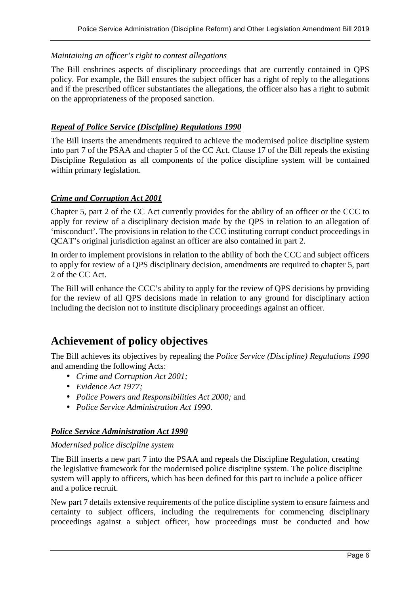#### *Maintaining an officer's right to contest allegations*

The Bill enshrines aspects of disciplinary proceedings that are currently contained in QPS policy. For example, the Bill ensures the subject officer has a right of reply to the allegations and if the prescribed officer substantiates the allegations, the officer also has a right to submit on the appropriateness of the proposed sanction.

#### *Repeal of Police Service (Discipline) Regulations 1990*

The Bill inserts the amendments required to achieve the modernised police discipline system into part 7 of the PSAA and chapter 5 of the CC Act. Clause 17 of the Bill repeals the existing Discipline Regulation as all components of the police discipline system will be contained within primary legislation.

#### *Crime and Corruption Act 2001*

Chapter 5, part 2 of the CC Act currently provides for the ability of an officer or the CCC to apply for review of a disciplinary decision made by the QPS in relation to an allegation of 'misconduct'. The provisions in relation to the CCC instituting corrupt conduct proceedings in QCAT's original jurisdiction against an officer are also contained in part 2.

In order to implement provisions in relation to the ability of both the CCC and subject officers to apply for review of a QPS disciplinary decision, amendments are required to chapter 5, part 2 of the CC Act.

The Bill will enhance the CCC's ability to apply for the review of QPS decisions by providing for the review of all QPS decisions made in relation to any ground for disciplinary action including the decision not to institute disciplinary proceedings against an officer.

# **Achievement of policy objectives**

The Bill achieves its objectives by repealing the *Police Service (Discipline) Regulations 1990*  and amending the following Acts:

- *Crime and Corruption Act 2001;*
- *Evidence Act 1977;*
- *Police Powers and Responsibilities Act 2000;* and
- *Police Service Administration Act 1990*.

#### *Police Service Administration Act 1990*

#### *Modernised police discipline system*

The Bill inserts a new part 7 into the PSAA and repeals the Discipline Regulation, creating the legislative framework for the modernised police discipline system. The police discipline system will apply to officers, which has been defined for this part to include a police officer and a police recruit.

New part 7 details extensive requirements of the police discipline system to ensure fairness and certainty to subject officers, including the requirements for commencing disciplinary proceedings against a subject officer, how proceedings must be conducted and how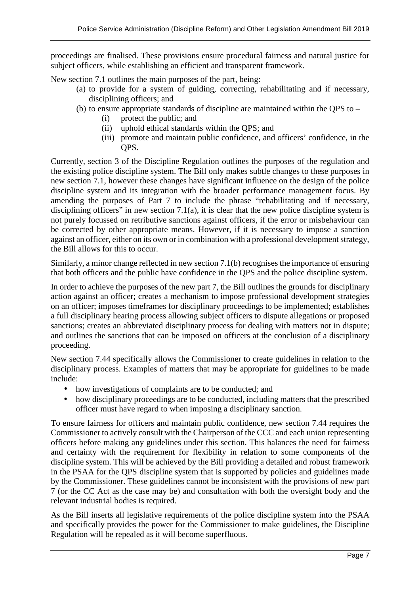proceedings are finalised. These provisions ensure procedural fairness and natural justice for subject officers, while establishing an efficient and transparent framework.

New section 7.1 outlines the main purposes of the part, being:

- (a) to provide for a system of guiding, correcting, rehabilitating and if necessary, disciplining officers; and
- (b) to ensure appropriate standards of discipline are maintained within the QPS to
	- (i) protect the public; and
	- (ii) uphold ethical standards within the QPS; and
	- (iii) promote and maintain public confidence, and officers' confidence, in the QPS.

Currently, section 3 of the Discipline Regulation outlines the purposes of the regulation and the existing police discipline system. The Bill only makes subtle changes to these purposes in new section 7.1, however these changes have significant influence on the design of the police discipline system and its integration with the broader performance management focus. By amending the purposes of Part 7 to include the phrase "rehabilitating and if necessary, disciplining officers" in new section 7.1(a), it is clear that the new police discipline system is not purely focussed on retributive sanctions against officers, if the error or misbehaviour can be corrected by other appropriate means. However, if it is necessary to impose a sanction against an officer, either on its own or in combination with a professional development strategy, the Bill allows for this to occur.

Similarly, a minor change reflected in new section 7.1(b) recognises the importance of ensuring that both officers and the public have confidence in the QPS and the police discipline system.

In order to achieve the purposes of the new part 7, the Bill outlines the grounds for disciplinary action against an officer; creates a mechanism to impose professional development strategies on an officer; imposes timeframes for disciplinary proceedings to be implemented; establishes a full disciplinary hearing process allowing subject officers to dispute allegations or proposed sanctions; creates an abbreviated disciplinary process for dealing with matters not in dispute; and outlines the sanctions that can be imposed on officers at the conclusion of a disciplinary proceeding.

New section 7.44 specifically allows the Commissioner to create guidelines in relation to the disciplinary process. Examples of matters that may be appropriate for guidelines to be made include:

- how investigations of complaints are to be conducted; and
- how disciplinary proceedings are to be conducted, including matters that the prescribed officer must have regard to when imposing a disciplinary sanction.

To ensure fairness for officers and maintain public confidence, new section 7.44 requires the Commissioner to actively consult with the Chairperson of the CCC and each union representing officers before making any guidelines under this section. This balances the need for fairness and certainty with the requirement for flexibility in relation to some components of the discipline system. This will be achieved by the Bill providing a detailed and robust framework in the PSAA for the QPS discipline system that is supported by policies and guidelines made by the Commissioner. These guidelines cannot be inconsistent with the provisions of new part 7 (or the CC Act as the case may be) and consultation with both the oversight body and the relevant industrial bodies is required.

As the Bill inserts all legislative requirements of the police discipline system into the PSAA and specifically provides the power for the Commissioner to make guidelines, the Discipline Regulation will be repealed as it will become superfluous.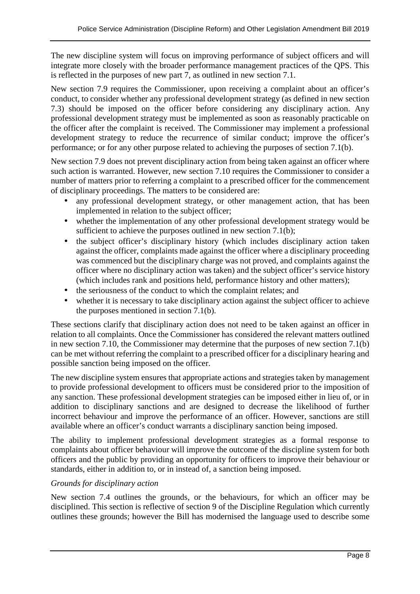The new discipline system will focus on improving performance of subject officers and will integrate more closely with the broader performance management practices of the QPS. This is reflected in the purposes of new part 7, as outlined in new section 7.1.

New section 7.9 requires the Commissioner, upon receiving a complaint about an officer's conduct, to consider whether any professional development strategy (as defined in new section 7.3) should be imposed on the officer before considering any disciplinary action. Any professional development strategy must be implemented as soon as reasonably practicable on the officer after the complaint is received. The Commissioner may implement a professional development strategy to reduce the recurrence of similar conduct; improve the officer's performance; or for any other purpose related to achieving the purposes of section 7.1(b).

New section 7.9 does not prevent disciplinary action from being taken against an officer where such action is warranted. However, new section 7.10 requires the Commissioner to consider a number of matters prior to referring a complaint to a prescribed officer for the commencement of disciplinary proceedings. The matters to be considered are:

- any professional development strategy, or other management action, that has been implemented in relation to the subject officer;
- whether the implementation of any other professional development strategy would be sufficient to achieve the purposes outlined in new section 7.1(b);
- the subject officer's disciplinary history (which includes disciplinary action taken against the officer, complaints made against the officer where a disciplinary proceeding was commenced but the disciplinary charge was not proved, and complaints against the officer where no disciplinary action was taken) and the subject officer's service history (which includes rank and positions held, performance history and other matters);
- the seriousness of the conduct to which the complaint relates; and
- whether it is necessary to take disciplinary action against the subject officer to achieve the purposes mentioned in section 7.1(b).

These sections clarify that disciplinary action does not need to be taken against an officer in relation to all complaints. Once the Commissioner has considered the relevant matters outlined in new section 7.10, the Commissioner may determine that the purposes of new section 7.1(b) can be met without referring the complaint to a prescribed officer for a disciplinary hearing and possible sanction being imposed on the officer.

The new discipline system ensures that appropriate actions and strategies taken by management to provide professional development to officers must be considered prior to the imposition of any sanction. These professional development strategies can be imposed either in lieu of, or in addition to disciplinary sanctions and are designed to decrease the likelihood of further incorrect behaviour and improve the performance of an officer. However, sanctions are still available where an officer's conduct warrants a disciplinary sanction being imposed.

The ability to implement professional development strategies as a formal response to complaints about officer behaviour will improve the outcome of the discipline system for both officers and the public by providing an opportunity for officers to improve their behaviour or standards, either in addition to, or in instead of, a sanction being imposed.

#### *Grounds for disciplinary action*

New section 7.4 outlines the grounds, or the behaviours, for which an officer may be disciplined. This section is reflective of section 9 of the Discipline Regulation which currently outlines these grounds; however the Bill has modernised the language used to describe some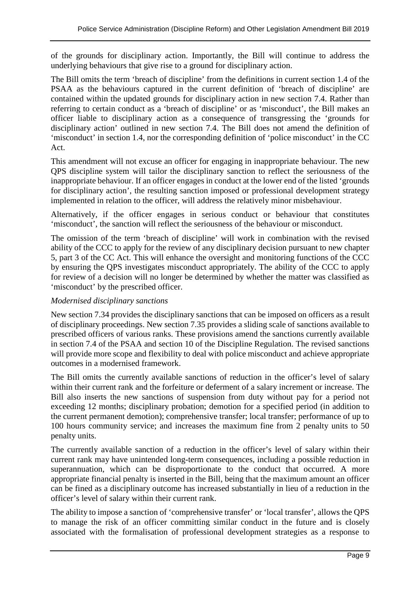of the grounds for disciplinary action. Importantly, the Bill will continue to address the underlying behaviours that give rise to a ground for disciplinary action.

The Bill omits the term 'breach of discipline' from the definitions in current section 1.4 of the PSAA as the behaviours captured in the current definition of 'breach of discipline' are contained within the updated grounds for disciplinary action in new section 7.4. Rather than referring to certain conduct as a 'breach of discipline' or as 'misconduct', the Bill makes an officer liable to disciplinary action as a consequence of transgressing the 'grounds for disciplinary action' outlined in new section 7.4. The Bill does not amend the definition of 'misconduct' in section 1.4, nor the corresponding definition of 'police misconduct' in the CC Act.

This amendment will not excuse an officer for engaging in inappropriate behaviour. The new QPS discipline system will tailor the disciplinary sanction to reflect the seriousness of the inappropriate behaviour. If an officer engages in conduct at the lower end of the listed 'grounds for disciplinary action', the resulting sanction imposed or professional development strategy implemented in relation to the officer, will address the relatively minor misbehaviour.

Alternatively, if the officer engages in serious conduct or behaviour that constitutes 'misconduct', the sanction will reflect the seriousness of the behaviour or misconduct.

The omission of the term 'breach of discipline' will work in combination with the revised ability of the CCC to apply for the review of any disciplinary decision pursuant to new chapter 5, part 3 of the CC Act. This will enhance the oversight and monitoring functions of the CCC by ensuring the QPS investigates misconduct appropriately. The ability of the CCC to apply for review of a decision will no longer be determined by whether the matter was classified as 'misconduct' by the prescribed officer.

#### *Modernised disciplinary sanctions*

New section 7.34 provides the disciplinary sanctions that can be imposed on officers as a result of disciplinary proceedings. New section 7.35 provides a sliding scale of sanctions available to prescribed officers of various ranks. These provisions amend the sanctions currently available in section 7.4 of the PSAA and section 10 of the Discipline Regulation. The revised sanctions will provide more scope and flexibility to deal with police misconduct and achieve appropriate outcomes in a modernised framework.

The Bill omits the currently available sanctions of reduction in the officer's level of salary within their current rank and the forfeiture or deferment of a salary increment or increase. The Bill also inserts the new sanctions of suspension from duty without pay for a period not exceeding 12 months; disciplinary probation; demotion for a specified period (in addition to the current permanent demotion); comprehensive transfer; local transfer; performance of up to 100 hours community service; and increases the maximum fine from 2 penalty units to 50 penalty units.

The currently available sanction of a reduction in the officer's level of salary within their current rank may have unintended long-term consequences, including a possible reduction in superannuation, which can be disproportionate to the conduct that occurred. A more appropriate financial penalty is inserted in the Bill, being that the maximum amount an officer can be fined as a disciplinary outcome has increased substantially in lieu of a reduction in the officer's level of salary within their current rank.

The ability to impose a sanction of 'comprehensive transfer' or 'local transfer', allows the QPS to manage the risk of an officer committing similar conduct in the future and is closely associated with the formalisation of professional development strategies as a response to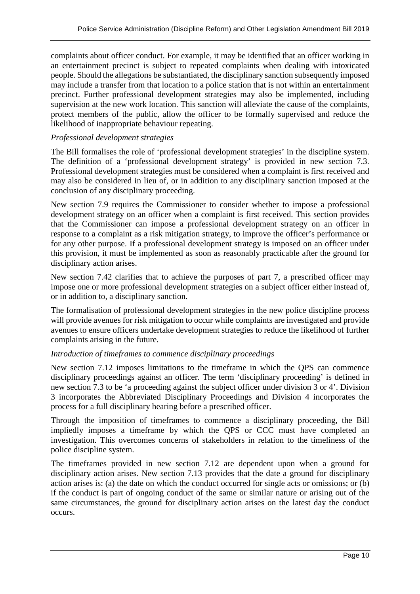complaints about officer conduct. For example, it may be identified that an officer working in an entertainment precinct is subject to repeated complaints when dealing with intoxicated people. Should the allegations be substantiated, the disciplinary sanction subsequently imposed may include a transfer from that location to a police station that is not within an entertainment precinct. Further professional development strategies may also be implemented, including supervision at the new work location. This sanction will alleviate the cause of the complaints, protect members of the public, allow the officer to be formally supervised and reduce the likelihood of inappropriate behaviour repeating.

#### *Professional development strategies*

The Bill formalises the role of 'professional development strategies' in the discipline system. The definition of a 'professional development strategy' is provided in new section 7.3. Professional development strategies must be considered when a complaint is first received and may also be considered in lieu of, or in addition to any disciplinary sanction imposed at the conclusion of any disciplinary proceeding.

New section 7.9 requires the Commissioner to consider whether to impose a professional development strategy on an officer when a complaint is first received. This section provides that the Commissioner can impose a professional development strategy on an officer in response to a complaint as a risk mitigation strategy, to improve the officer's performance or for any other purpose. If a professional development strategy is imposed on an officer under this provision, it must be implemented as soon as reasonably practicable after the ground for disciplinary action arises.

New section 7.42 clarifies that to achieve the purposes of part 7, a prescribed officer may impose one or more professional development strategies on a subject officer either instead of, or in addition to, a disciplinary sanction.

The formalisation of professional development strategies in the new police discipline process will provide avenues for risk mitigation to occur while complaints are investigated and provide avenues to ensure officers undertake development strategies to reduce the likelihood of further complaints arising in the future.

#### *Introduction of timeframes to commence disciplinary proceedings*

New section 7.12 imposes limitations to the timeframe in which the QPS can commence disciplinary proceedings against an officer. The term 'disciplinary proceeding' is defined in new section 7.3 to be 'a proceeding against the subject officer under division 3 or 4'. Division 3 incorporates the Abbreviated Disciplinary Proceedings and Division 4 incorporates the process for a full disciplinary hearing before a prescribed officer.

Through the imposition of timeframes to commence a disciplinary proceeding, the Bill impliedly imposes a timeframe by which the QPS or CCC must have completed an investigation. This overcomes concerns of stakeholders in relation to the timeliness of the police discipline system.

The timeframes provided in new section 7.12 are dependent upon when a ground for disciplinary action arises. New section 7.13 provides that the date a ground for disciplinary action arises is: (a) the date on which the conduct occurred for single acts or omissions; or (b) if the conduct is part of ongoing conduct of the same or similar nature or arising out of the same circumstances, the ground for disciplinary action arises on the latest day the conduct occurs.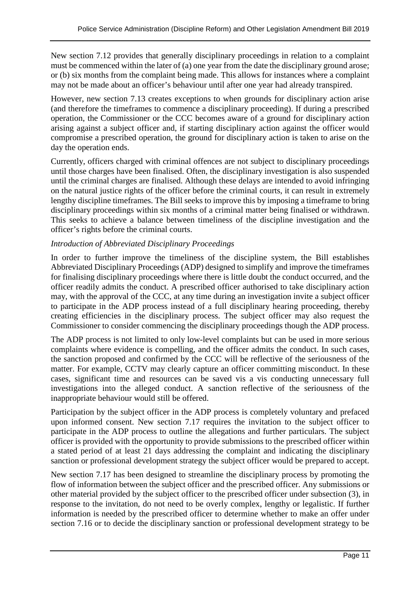New section 7.12 provides that generally disciplinary proceedings in relation to a complaint must be commenced within the later of (a) one year from the date the disciplinary ground arose; or (b) six months from the complaint being made. This allows for instances where a complaint may not be made about an officer's behaviour until after one year had already transpired.

However, new section 7.13 creates exceptions to when grounds for disciplinary action arise (and therefore the timeframes to commence a disciplinary proceeding). If during a prescribed operation, the Commissioner or the CCC becomes aware of a ground for disciplinary action arising against a subject officer and, if starting disciplinary action against the officer would compromise a prescribed operation, the ground for disciplinary action is taken to arise on the day the operation ends.

Currently, officers charged with criminal offences are not subject to disciplinary proceedings until those charges have been finalised. Often, the disciplinary investigation is also suspended until the criminal charges are finalised. Although these delays are intended to avoid infringing on the natural justice rights of the officer before the criminal courts, it can result in extremely lengthy discipline timeframes. The Bill seeks to improve this by imposing a timeframe to bring disciplinary proceedings within six months of a criminal matter being finalised or withdrawn. This seeks to achieve a balance between timeliness of the discipline investigation and the officer's rights before the criminal courts.

# *Introduction of Abbreviated Disciplinary Proceedings*

In order to further improve the timeliness of the discipline system, the Bill establishes Abbreviated Disciplinary Proceedings (ADP) designed to simplify and improve the timeframes for finalising disciplinary proceedings where there is little doubt the conduct occurred, and the officer readily admits the conduct. A prescribed officer authorised to take disciplinary action may, with the approval of the CCC, at any time during an investigation invite a subject officer to participate in the ADP process instead of a full disciplinary hearing proceeding, thereby creating efficiencies in the disciplinary process. The subject officer may also request the Commissioner to consider commencing the disciplinary proceedings though the ADP process.

The ADP process is not limited to only low-level complaints but can be used in more serious complaints where evidence is compelling, and the officer admits the conduct. In such cases, the sanction proposed and confirmed by the CCC will be reflective of the seriousness of the matter. For example, CCTV may clearly capture an officer committing misconduct. In these cases, significant time and resources can be saved vis a vis conducting unnecessary full investigations into the alleged conduct. A sanction reflective of the seriousness of the inappropriate behaviour would still be offered.

Participation by the subject officer in the ADP process is completely voluntary and prefaced upon informed consent. New section 7.17 requires the invitation to the subject officer to participate in the ADP process to outline the allegations and further particulars. The subject officer is provided with the opportunity to provide submissions to the prescribed officer within a stated period of at least 21 days addressing the complaint and indicating the disciplinary sanction or professional development strategy the subject officer would be prepared to accept.

New section 7.17 has been designed to streamline the disciplinary process by promoting the flow of information between the subject officer and the prescribed officer. Any submissions or other material provided by the subject officer to the prescribed officer under subsection (3), in response to the invitation, do not need to be overly complex, lengthy or legalistic. If further information is needed by the prescribed officer to determine whether to make an offer under section 7.16 or to decide the disciplinary sanction or professional development strategy to be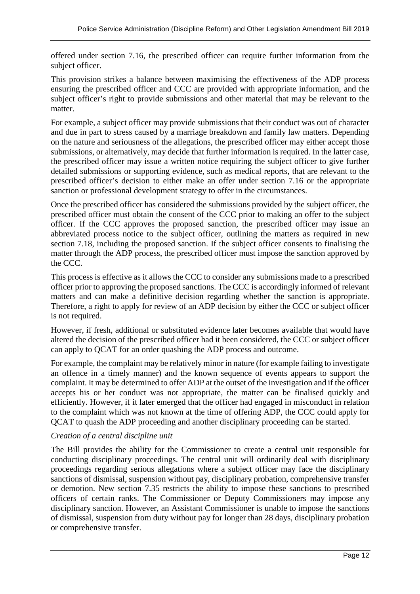offered under section 7.16, the prescribed officer can require further information from the subject officer.

This provision strikes a balance between maximising the effectiveness of the ADP process ensuring the prescribed officer and CCC are provided with appropriate information, and the subject officer's right to provide submissions and other material that may be relevant to the matter.

For example, a subject officer may provide submissions that their conduct was out of character and due in part to stress caused by a marriage breakdown and family law matters. Depending on the nature and seriousness of the allegations, the prescribed officer may either accept those submissions, or alternatively, may decide that further information is required. In the latter case, the prescribed officer may issue a written notice requiring the subject officer to give further detailed submissions or supporting evidence, such as medical reports, that are relevant to the prescribed officer's decision to either make an offer under section 7.16 or the appropriate sanction or professional development strategy to offer in the circumstances.

Once the prescribed officer has considered the submissions provided by the subject officer, the prescribed officer must obtain the consent of the CCC prior to making an offer to the subject officer. If the CCC approves the proposed sanction, the prescribed officer may issue an abbreviated process notice to the subject officer, outlining the matters as required in new section 7.18, including the proposed sanction. If the subject officer consents to finalising the matter through the ADP process, the prescribed officer must impose the sanction approved by the CCC.

This process is effective as it allows the CCC to consider any submissions made to a prescribed officer prior to approving the proposed sanctions. The CCC is accordingly informed of relevant matters and can make a definitive decision regarding whether the sanction is appropriate. Therefore, a right to apply for review of an ADP decision by either the CCC or subject officer is not required.

However, if fresh, additional or substituted evidence later becomes available that would have altered the decision of the prescribed officer had it been considered, the CCC or subject officer can apply to QCAT for an order quashing the ADP process and outcome.

For example, the complaint may be relatively minor in nature (for example failing to investigate an offence in a timely manner) and the known sequence of events appears to support the complaint. It may be determined to offer ADP at the outset of the investigation and if the officer accepts his or her conduct was not appropriate, the matter can be finalised quickly and efficiently. However, if it later emerged that the officer had engaged in misconduct in relation to the complaint which was not known at the time of offering ADP, the CCC could apply for QCAT to quash the ADP proceeding and another disciplinary proceeding can be started.

# *Creation of a central discipline unit*

The Bill provides the ability for the Commissioner to create a central unit responsible for conducting disciplinary proceedings. The central unit will ordinarily deal with disciplinary proceedings regarding serious allegations where a subject officer may face the disciplinary sanctions of dismissal, suspension without pay, disciplinary probation, comprehensive transfer or demotion. New section 7.35 restricts the ability to impose these sanctions to prescribed officers of certain ranks. The Commissioner or Deputy Commissioners may impose any disciplinary sanction. However, an Assistant Commissioner is unable to impose the sanctions of dismissal, suspension from duty without pay for longer than 28 days, disciplinary probation or comprehensive transfer.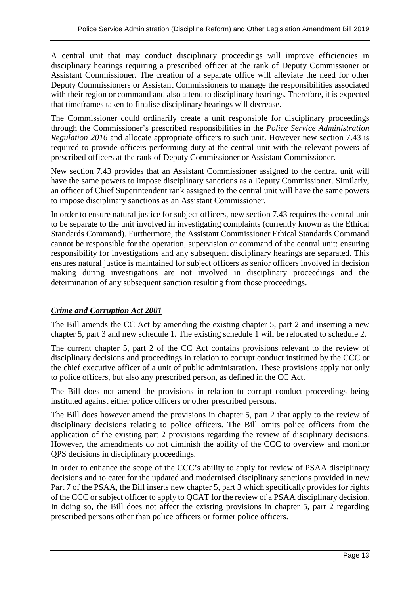A central unit that may conduct disciplinary proceedings will improve efficiencies in disciplinary hearings requiring a prescribed officer at the rank of Deputy Commissioner or Assistant Commissioner. The creation of a separate office will alleviate the need for other Deputy Commissioners or Assistant Commissioners to manage the responsibilities associated with their region or command and also attend to disciplinary hearings. Therefore, it is expected that timeframes taken to finalise disciplinary hearings will decrease.

The Commissioner could ordinarily create a unit responsible for disciplinary proceedings through the Commissioner's prescribed responsibilities in the *Police Service Administration Regulation 2016* and allocate appropriate officers to such unit. However new section 7.43 is required to provide officers performing duty at the central unit with the relevant powers of prescribed officers at the rank of Deputy Commissioner or Assistant Commissioner.

New section 7.43 provides that an Assistant Commissioner assigned to the central unit will have the same powers to impose disciplinary sanctions as a Deputy Commissioner. Similarly, an officer of Chief Superintendent rank assigned to the central unit will have the same powers to impose disciplinary sanctions as an Assistant Commissioner.

In order to ensure natural justice for subject officers, new section 7.43 requires the central unit to be separate to the unit involved in investigating complaints (currently known as the Ethical Standards Command). Furthermore, the Assistant Commissioner Ethical Standards Command cannot be responsible for the operation, supervision or command of the central unit; ensuring responsibility for investigations and any subsequent disciplinary hearings are separated. This ensures natural justice is maintained for subject officers as senior officers involved in decision making during investigations are not involved in disciplinary proceedings and the determination of any subsequent sanction resulting from those proceedings.

# *Crime and Corruption Act 2001*

The Bill amends the CC Act by amending the existing chapter 5, part 2 and inserting a new chapter 5, part 3 and new schedule 1. The existing schedule 1 will be relocated to schedule 2.

The current chapter 5, part 2 of the CC Act contains provisions relevant to the review of disciplinary decisions and proceedings in relation to corrupt conduct instituted by the CCC or the chief executive officer of a unit of public administration. These provisions apply not only to police officers, but also any prescribed person, as defined in the CC Act.

The Bill does not amend the provisions in relation to corrupt conduct proceedings being instituted against either police officers or other prescribed persons.

The Bill does however amend the provisions in chapter 5, part 2 that apply to the review of disciplinary decisions relating to police officers. The Bill omits police officers from the application of the existing part 2 provisions regarding the review of disciplinary decisions. However, the amendments do not diminish the ability of the CCC to overview and monitor QPS decisions in disciplinary proceedings.

In order to enhance the scope of the CCC's ability to apply for review of PSAA disciplinary decisions and to cater for the updated and modernised disciplinary sanctions provided in new Part 7 of the PSAA, the Bill inserts new chapter 5, part 3 which specifically provides for rights of the CCC or subject officer to apply to QCAT for the review of a PSAA disciplinary decision. In doing so, the Bill does not affect the existing provisions in chapter 5, part 2 regarding prescribed persons other than police officers or former police officers.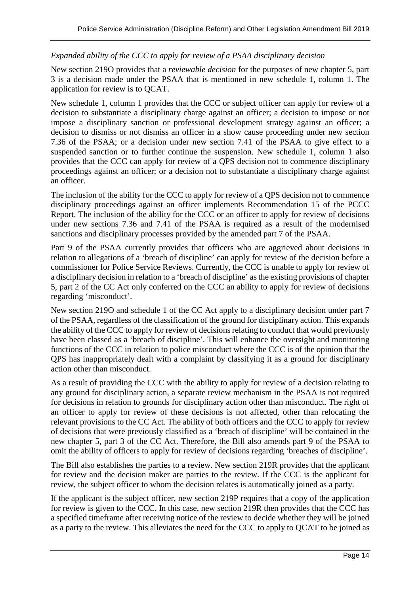#### *Expanded ability of the CCC to apply for review of a PSAA disciplinary decision*

New section 219O provides that a *reviewable decision* for the purposes of new chapter 5, part 3 is a decision made under the PSAA that is mentioned in new schedule 1, column 1. The application for review is to QCAT.

New schedule 1, column 1 provides that the CCC or subject officer can apply for review of a decision to substantiate a disciplinary charge against an officer; a decision to impose or not impose a disciplinary sanction or professional development strategy against an officer; a decision to dismiss or not dismiss an officer in a show cause proceeding under new section 7.36 of the PSAA; or a decision under new section 7.41 of the PSAA to give effect to a suspended sanction or to further continue the suspension. New schedule 1, column 1 also provides that the CCC can apply for review of a QPS decision not to commence disciplinary proceedings against an officer; or a decision not to substantiate a disciplinary charge against an officer.

The inclusion of the ability for the CCC to apply for review of a QPS decision not to commence disciplinary proceedings against an officer implements Recommendation 15 of the PCCC Report. The inclusion of the ability for the CCC or an officer to apply for review of decisions under new sections 7.36 and 7.41 of the PSAA is required as a result of the modernised sanctions and disciplinary processes provided by the amended part 7 of the PSAA.

Part 9 of the PSAA currently provides that officers who are aggrieved about decisions in relation to allegations of a 'breach of discipline' can apply for review of the decision before a commissioner for Police Service Reviews. Currently, the CCC is unable to apply for review of a disciplinary decision in relation to a 'breach of discipline' as the existing provisions of chapter 5, part 2 of the CC Act only conferred on the CCC an ability to apply for review of decisions regarding 'misconduct'.

New section 219O and schedule 1 of the CC Act apply to a disciplinary decision under part 7 of the PSAA, regardless of the classification of the ground for disciplinary action. This expands the ability of the CCC to apply for review of decisions relating to conduct that would previously have been classed as a 'breach of discipline'. This will enhance the oversight and monitoring functions of the CCC in relation to police misconduct where the CCC is of the opinion that the QPS has inappropriately dealt with a complaint by classifying it as a ground for disciplinary action other than misconduct.

As a result of providing the CCC with the ability to apply for review of a decision relating to any ground for disciplinary action, a separate review mechanism in the PSAA is not required for decisions in relation to grounds for disciplinary action other than misconduct. The right of an officer to apply for review of these decisions is not affected, other than relocating the relevant provisions to the CC Act. The ability of both officers and the CCC to apply for review of decisions that were previously classified as a 'breach of discipline' will be contained in the new chapter 5, part 3 of the CC Act. Therefore, the Bill also amends part 9 of the PSAA to omit the ability of officers to apply for review of decisions regarding 'breaches of discipline'.

The Bill also establishes the parties to a review. New section 219R provides that the applicant for review and the decision maker are parties to the review. If the CCC is the applicant for review, the subject officer to whom the decision relates is automatically joined as a party.

If the applicant is the subject officer, new section 219P requires that a copy of the application for review is given to the CCC. In this case, new section 219R then provides that the CCC has a specified timeframe after receiving notice of the review to decide whether they will be joined as a party to the review. This alleviates the need for the CCC to apply to QCAT to be joined as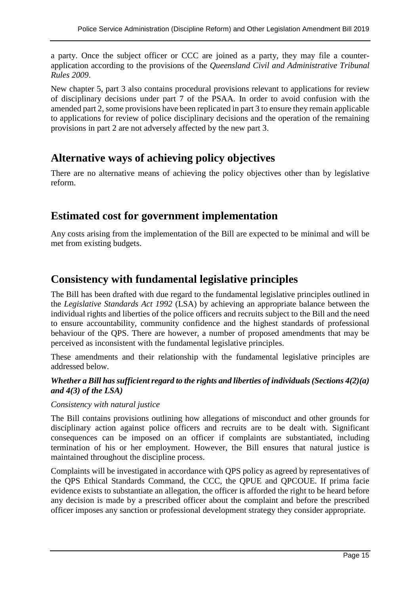a party. Once the subject officer or CCC are joined as a party, they may file a counterapplication according to the provisions of the *Queensland Civil and Administrative Tribunal Rules 2009*.

New chapter 5, part 3 also contains procedural provisions relevant to applications for review of disciplinary decisions under part 7 of the PSAA. In order to avoid confusion with the amended part 2, some provisions have been replicated in part 3 to ensure they remain applicable to applications for review of police disciplinary decisions and the operation of the remaining provisions in part 2 are not adversely affected by the new part 3.

# **Alternative ways of achieving policy objectives**

There are no alternative means of achieving the policy objectives other than by legislative reform.

# **Estimated cost for government implementation**

Any costs arising from the implementation of the Bill are expected to be minimal and will be met from existing budgets.

# **Consistency with fundamental legislative principles**

The Bill has been drafted with due regard to the fundamental legislative principles outlined in the *Legislative Standards Act 1992* (LSA) by achieving an appropriate balance between the individual rights and liberties of the police officers and recruits subject to the Bill and the need to ensure accountability, community confidence and the highest standards of professional behaviour of the QPS. There are however, a number of proposed amendments that may be perceived as inconsistent with the fundamental legislative principles.

These amendments and their relationship with the fundamental legislative principles are addressed below.

# *Whether a Bill has sufficient regard to the rights and liberties of individuals (Sections 4(2)(a) and 4(3) of the LSA)*

#### *Consistency with natural justice*

The Bill contains provisions outlining how allegations of misconduct and other grounds for disciplinary action against police officers and recruits are to be dealt with. Significant consequences can be imposed on an officer if complaints are substantiated, including termination of his or her employment. However, the Bill ensures that natural justice is maintained throughout the discipline process.

Complaints will be investigated in accordance with QPS policy as agreed by representatives of the QPS Ethical Standards Command, the CCC, the QPUE and QPCOUE. If prima facie evidence exists to substantiate an allegation, the officer is afforded the right to be heard before any decision is made by a prescribed officer about the complaint and before the prescribed officer imposes any sanction or professional development strategy they consider appropriate.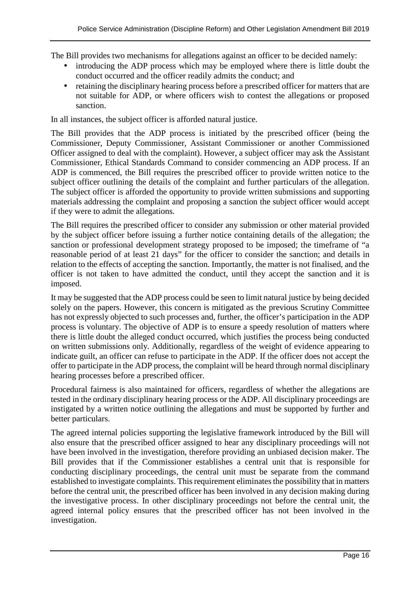The Bill provides two mechanisms for allegations against an officer to be decided namely:

- introducing the ADP process which may be employed where there is little doubt the conduct occurred and the officer readily admits the conduct; and
- retaining the disciplinary hearing process before a prescribed officer for matters that are not suitable for ADP, or where officers wish to contest the allegations or proposed sanction.

In all instances, the subject officer is afforded natural justice.

The Bill provides that the ADP process is initiated by the prescribed officer (being the Commissioner, Deputy Commissioner, Assistant Commissioner or another Commissioned Officer assigned to deal with the complaint). However, a subject officer may ask the Assistant Commissioner, Ethical Standards Command to consider commencing an ADP process. If an ADP is commenced, the Bill requires the prescribed officer to provide written notice to the subject officer outlining the details of the complaint and further particulars of the allegation. The subject officer is afforded the opportunity to provide written submissions and supporting materials addressing the complaint and proposing a sanction the subject officer would accept if they were to admit the allegations.

The Bill requires the prescribed officer to consider any submission or other material provided by the subject officer before issuing a further notice containing details of the allegation; the sanction or professional development strategy proposed to be imposed; the timeframe of "a reasonable period of at least 21 days" for the officer to consider the sanction; and details in relation to the effects of accepting the sanction. Importantly, the matter is not finalised, and the officer is not taken to have admitted the conduct, until they accept the sanction and it is imposed.

It may be suggested that the ADP process could be seen to limit natural justice by being decided solely on the papers. However, this concern is mitigated as the previous Scrutiny Committee has not expressly objected to such processes and, further, the officer's participation in the ADP process is voluntary. The objective of ADP is to ensure a speedy resolution of matters where there is little doubt the alleged conduct occurred, which justifies the process being conducted on written submissions only. Additionally, regardless of the weight of evidence appearing to indicate guilt, an officer can refuse to participate in the ADP. If the officer does not accept the offer to participate in the ADP process, the complaint will be heard through normal disciplinary hearing processes before a prescribed officer.

Procedural fairness is also maintained for officers, regardless of whether the allegations are tested in the ordinary disciplinary hearing process or the ADP. All disciplinary proceedings are instigated by a written notice outlining the allegations and must be supported by further and better particulars.

The agreed internal policies supporting the legislative framework introduced by the Bill will also ensure that the prescribed officer assigned to hear any disciplinary proceedings will not have been involved in the investigation, therefore providing an unbiased decision maker. The Bill provides that if the Commissioner establishes a central unit that is responsible for conducting disciplinary proceedings, the central unit must be separate from the command established to investigate complaints. This requirement eliminates the possibility that in matters before the central unit, the prescribed officer has been involved in any decision making during the investigative process. In other disciplinary proceedings not before the central unit, the agreed internal policy ensures that the prescribed officer has not been involved in the investigation.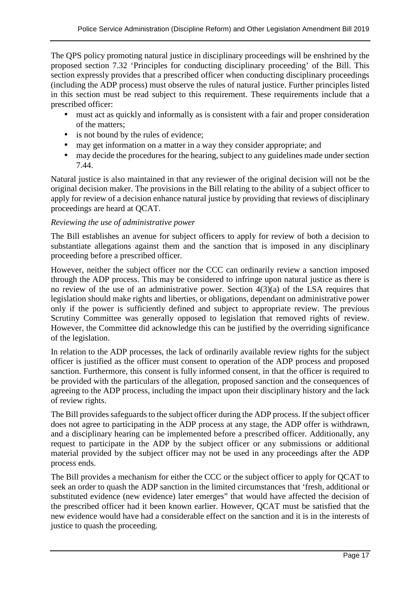The QPS policy promoting natural justice in disciplinary proceedings will be enshrined by the proposed section 7.32 'Principles for conducting disciplinary proceeding' of the Bill. This section expressly provides that a prescribed officer when conducting disciplinary proceedings (including the ADP process) must observe the rules of natural justice. Further principles listed in this section must be read subject to this requirement. These requirements include that a prescribed officer:

- must act as quickly and informally as is consistent with a fair and proper consideration of the matters;
- is not bound by the rules of evidence;
- may get information on a matter in a way they consider appropriate; and
- may decide the procedures for the hearing, subject to any guidelines made under section 7.44.

Natural justice is also maintained in that any reviewer of the original decision will not be the original decision maker. The provisions in the Bill relating to the ability of a subject officer to apply for review of a decision enhance natural justice by providing that reviews of disciplinary proceedings are heard at QCAT.

#### *Reviewing the use of administrative power*

The Bill establishes an avenue for subject officers to apply for review of both a decision to substantiate allegations against them and the sanction that is imposed in any disciplinary proceeding before a prescribed officer.

However, neither the subject officer nor the CCC can ordinarily review a sanction imposed through the ADP process. This may be considered to infringe upon natural justice as there is no review of the use of an administrative power. Section  $4(3)(a)$  of the LSA requires that legislation should make rights and liberties, or obligations, dependant on administrative power only if the power is sufficiently defined and subject to appropriate review. The previous Scrutiny Committee was generally opposed to legislation that removed rights of review. However, the Committee did acknowledge this can be justified by the overriding significance of the legislation.

In relation to the ADP processes, the lack of ordinarily available review rights for the subject officer is justified as the officer must consent to operation of the ADP process and proposed sanction. Furthermore, this consent is fully informed consent, in that the officer is required to be provided with the particulars of the allegation, proposed sanction and the consequences of agreeing to the ADP process, including the impact upon their disciplinary history and the lack of review rights.

The Bill provides safeguards to the subject officer during the ADP process. If the subject officer does not agree to participating in the ADP process at any stage, the ADP offer is withdrawn, and a disciplinary hearing can be implemented before a prescribed officer. Additionally, any request to participate in the ADP by the subject officer or any submissions or additional material provided by the subject officer may not be used in any proceedings after the ADP process ends.

The Bill provides a mechanism for either the CCC or the subject officer to apply for QCAT to seek an order to quash the ADP sanction in the limited circumstances that 'fresh, additional or substituted evidence (new evidence) later emerges" that would have affected the decision of the prescribed officer had it been known earlier. However, QCAT must be satisfied that the new evidence would have had a considerable effect on the sanction and it is in the interests of justice to quash the proceeding.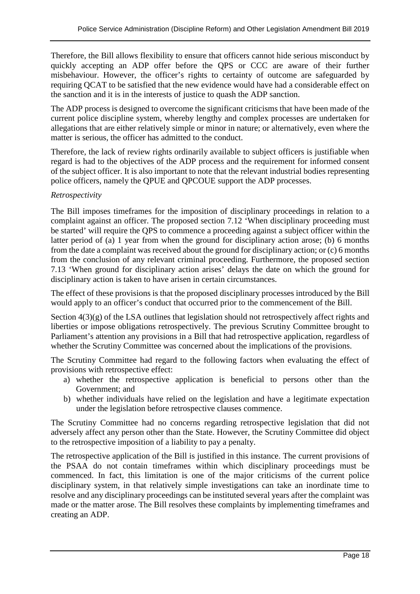Therefore, the Bill allows flexibility to ensure that officers cannot hide serious misconduct by quickly accepting an ADP offer before the QPS or CCC are aware of their further misbehaviour. However, the officer's rights to certainty of outcome are safeguarded by requiring QCAT to be satisfied that the new evidence would have had a considerable effect on the sanction and it is in the interests of justice to quash the ADP sanction.

The ADP process is designed to overcome the significant criticisms that have been made of the current police discipline system, whereby lengthy and complex processes are undertaken for allegations that are either relatively simple or minor in nature; or alternatively, even where the matter is serious, the officer has admitted to the conduct.

Therefore, the lack of review rights ordinarily available to subject officers is justifiable when regard is had to the objectives of the ADP process and the requirement for informed consent of the subject officer. It is also important to note that the relevant industrial bodies representing police officers, namely the QPUE and QPCOUE support the ADP processes.

#### *Retrospectivity*

The Bill imposes timeframes for the imposition of disciplinary proceedings in relation to a complaint against an officer. The proposed section 7.12 'When disciplinary proceeding must be started' will require the QPS to commence a proceeding against a subject officer within the latter period of (a) 1 year from when the ground for disciplinary action arose; (b) 6 months from the date a complaint was received about the ground for disciplinary action; or (c) 6 months from the conclusion of any relevant criminal proceeding. Furthermore, the proposed section 7.13 'When ground for disciplinary action arises' delays the date on which the ground for disciplinary action is taken to have arisen in certain circumstances.

The effect of these provisions is that the proposed disciplinary processes introduced by the Bill would apply to an officer's conduct that occurred prior to the commencement of the Bill.

Section  $4(3)(g)$  of the LSA outlines that legislation should not retrospectively affect rights and liberties or impose obligations retrospectively. The previous Scrutiny Committee brought to Parliament's attention any provisions in a Bill that had retrospective application, regardless of whether the Scrutiny Committee was concerned about the implications of the provisions.

The Scrutiny Committee had regard to the following factors when evaluating the effect of provisions with retrospective effect:

- a) whether the retrospective application is beneficial to persons other than the Government; and
- b) whether individuals have relied on the legislation and have a legitimate expectation under the legislation before retrospective clauses commence.

The Scrutiny Committee had no concerns regarding retrospective legislation that did not adversely affect any person other than the State. However, the Scrutiny Committee did object to the retrospective imposition of a liability to pay a penalty.

The retrospective application of the Bill is justified in this instance. The current provisions of the PSAA do not contain timeframes within which disciplinary proceedings must be commenced. In fact, this limitation is one of the major criticisms of the current police disciplinary system, in that relatively simple investigations can take an inordinate time to resolve and any disciplinary proceedings can be instituted several years after the complaint was made or the matter arose. The Bill resolves these complaints by implementing timeframes and creating an ADP.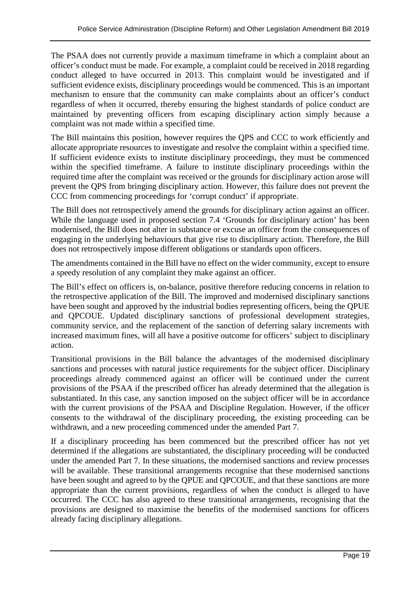The PSAA does not currently provide a maximum timeframe in which a complaint about an officer's conduct must be made. For example, a complaint could be received in 2018 regarding conduct alleged to have occurred in 2013. This complaint would be investigated and if sufficient evidence exists, disciplinary proceedings would be commenced. This is an important mechanism to ensure that the community can make complaints about an officer's conduct regardless of when it occurred, thereby ensuring the highest standards of police conduct are maintained by preventing officers from escaping disciplinary action simply because a complaint was not made within a specified time.

The Bill maintains this position, however requires the QPS and CCC to work efficiently and allocate appropriate resources to investigate and resolve the complaint within a specified time. If sufficient evidence exists to institute disciplinary proceedings, they must be commenced within the specified timeframe. A failure to institute disciplinary proceedings within the required time after the complaint was received or the grounds for disciplinary action arose will prevent the QPS from bringing disciplinary action. However, this failure does not prevent the CCC from commencing proceedings for 'corrupt conduct' if appropriate.

The Bill does not retrospectively amend the grounds for disciplinary action against an officer. While the language used in proposed section 7.4 'Grounds for disciplinary action' has been modernised, the Bill does not alter in substance or excuse an officer from the consequences of engaging in the underlying behaviours that give rise to disciplinary action. Therefore, the Bill does not retrospectively impose different obligations or standards upon officers.

The amendments contained in the Bill have no effect on the wider community, except to ensure a speedy resolution of any complaint they make against an officer.

The Bill's effect on officers is, on-balance, positive therefore reducing concerns in relation to the retrospective application of the Bill. The improved and modernised disciplinary sanctions have been sought and approved by the industrial bodies representing officers, being the QPUE and QPCOUE. Updated disciplinary sanctions of professional development strategies, community service, and the replacement of the sanction of deferring salary increments with increased maximum fines, will all have a positive outcome for officers' subject to disciplinary action.

Transitional provisions in the Bill balance the advantages of the modernised disciplinary sanctions and processes with natural justice requirements for the subject officer. Disciplinary proceedings already commenced against an officer will be continued under the current provisions of the PSAA if the prescribed officer has already determined that the allegation is substantiated. In this case, any sanction imposed on the subject officer will be in accordance with the current provisions of the PSAA and Discipline Regulation. However, if the officer consents to the withdrawal of the disciplinary proceeding, the existing proceeding can be withdrawn, and a new proceeding commenced under the amended Part 7.

If a disciplinary proceeding has been commenced but the prescribed officer has not yet determined if the allegations are substantiated, the disciplinary proceeding will be conducted under the amended Part 7. In these situations, the modernised sanctions and review processes will be available. These transitional arrangements recognise that these modernised sanctions have been sought and agreed to by the QPUE and QPCOUE, and that these sanctions are more appropriate than the current provisions, regardless of when the conduct is alleged to have occurred. The CCC has also agreed to these transitional arrangements, recognising that the provisions are designed to maximise the benefits of the modernised sanctions for officers already facing disciplinary allegations.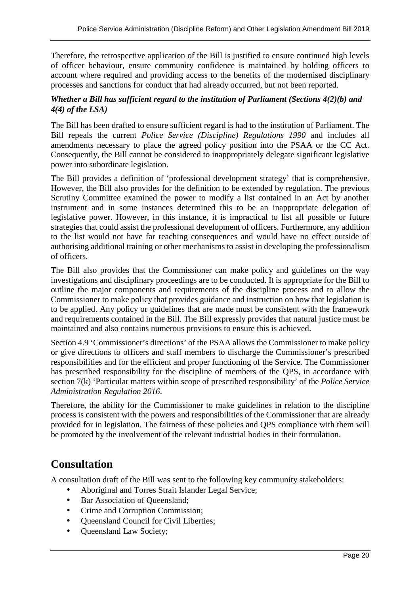Therefore, the retrospective application of the Bill is justified to ensure continued high levels of officer behaviour, ensure community confidence is maintained by holding officers to account where required and providing access to the benefits of the modernised disciplinary processes and sanctions for conduct that had already occurred, but not been reported.

#### *Whether a Bill has sufficient regard to the institution of Parliament (Sections 4(2)(b) and 4(4) of the LSA)*

The Bill has been drafted to ensure sufficient regard is had to the institution of Parliament. The Bill repeals the current *Police Service (Discipline) Regulations 1990* and includes all amendments necessary to place the agreed policy position into the PSAA or the CC Act. Consequently, the Bill cannot be considered to inappropriately delegate significant legislative power into subordinate legislation.

The Bill provides a definition of 'professional development strategy' that is comprehensive. However, the Bill also provides for the definition to be extended by regulation. The previous Scrutiny Committee examined the power to modify a list contained in an Act by another instrument and in some instances determined this to be an inappropriate delegation of legislative power. However, in this instance, it is impractical to list all possible or future strategies that could assist the professional development of officers. Furthermore, any addition to the list would not have far reaching consequences and would have no effect outside of authorising additional training or other mechanisms to assist in developing the professionalism of officers.

The Bill also provides that the Commissioner can make policy and guidelines on the way investigations and disciplinary proceedings are to be conducted. It is appropriate for the Bill to outline the major components and requirements of the discipline process and to allow the Commissioner to make policy that provides guidance and instruction on how that legislation is to be applied. Any policy or guidelines that are made must be consistent with the framework and requirements contained in the Bill. The Bill expressly provides that natural justice must be maintained and also contains numerous provisions to ensure this is achieved.

Section 4.9 'Commissioner's directions' of the PSAA allows the Commissioner to make policy or give directions to officers and staff members to discharge the Commissioner's prescribed responsibilities and for the efficient and proper functioning of the Service. The Commissioner has prescribed responsibility for the discipline of members of the QPS, in accordance with section 7(k) 'Particular matters within scope of prescribed responsibility' of the *Police Service Administration Regulation 2016*.

Therefore, the ability for the Commissioner to make guidelines in relation to the discipline process is consistent with the powers and responsibilities of the Commissioner that are already provided for in legislation. The fairness of these policies and QPS compliance with them will be promoted by the involvement of the relevant industrial bodies in their formulation.

# **Consultation**

A consultation draft of the Bill was sent to the following key community stakeholders:

- Aboriginal and Torres Strait Islander Legal Service;
- Bar Association of Queensland;
- Crime and Corruption Commission;
- Queensland Council for Civil Liberties;
- Queensland Law Society;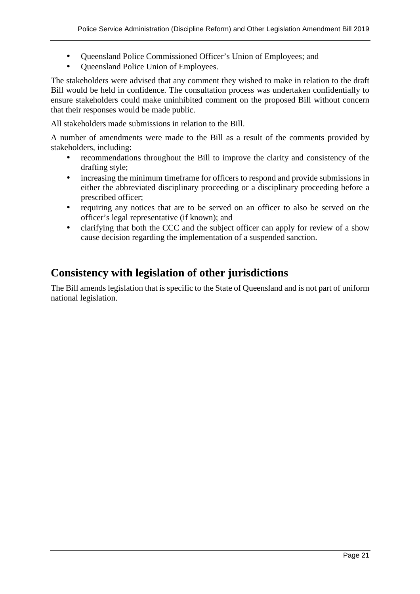- Queensland Police Commissioned Officer's Union of Employees; and
- Queensland Police Union of Employees.

The stakeholders were advised that any comment they wished to make in relation to the draft Bill would be held in confidence. The consultation process was undertaken confidentially to ensure stakeholders could make uninhibited comment on the proposed Bill without concern that their responses would be made public.

All stakeholders made submissions in relation to the Bill.

A number of amendments were made to the Bill as a result of the comments provided by stakeholders, including:

- recommendations throughout the Bill to improve the clarity and consistency of the drafting style;
- increasing the minimum timeframe for officers to respond and provide submissions in either the abbreviated disciplinary proceeding or a disciplinary proceeding before a prescribed officer;
- requiring any notices that are to be served on an officer to also be served on the officer's legal representative (if known); and
- clarifying that both the CCC and the subject officer can apply for review of a show cause decision regarding the implementation of a suspended sanction.

# **Consistency with legislation of other jurisdictions**

The Bill amends legislation that is specific to the State of Queensland and is not part of uniform national legislation.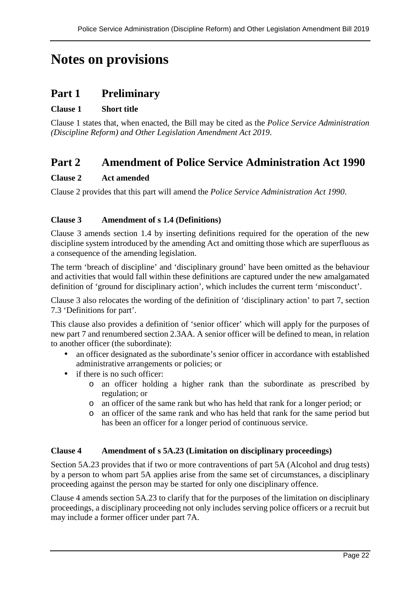# **Notes on provisions**

# **Part 1 Preliminary**

#### **Clause 1 Short title**

Clause 1 states that, when enacted, the Bill may be cited as the *Police Service Administration (Discipline Reform) and Other Legislation Amendment Act 2019*.

# **Part 2 Amendment of Police Service Administration Act 1990**

#### **Clause 2 Act amended**

Clause 2 provides that this part will amend the *Police Service Administration Act 1990*.

#### **Clause 3 Amendment of s 1.4 (Definitions)**

Clause 3 amends section 1.4 by inserting definitions required for the operation of the new discipline system introduced by the amending Act and omitting those which are superfluous as a consequence of the amending legislation.

The term 'breach of discipline' and 'disciplinary ground' have been omitted as the behaviour and activities that would fall within these definitions are captured under the new amalgamated definition of 'ground for disciplinary action', which includes the current term 'misconduct'.

Clause 3 also relocates the wording of the definition of 'disciplinary action' to part 7, section 7.3 'Definitions for part'.

This clause also provides a definition of 'senior officer' which will apply for the purposes of new part 7 and renumbered section 2.3AA. A senior officer will be defined to mean, in relation to another officer (the subordinate):

- an officer designated as the subordinate's senior officer in accordance with established administrative arrangements or policies; or
- if there is no such officer:
	- o an officer holding a higher rank than the subordinate as prescribed by regulation; or
	- o an officer of the same rank but who has held that rank for a longer period; or
	- o an officer of the same rank and who has held that rank for the same period but has been an officer for a longer period of continuous service.

#### **Clause 4 Amendment of s 5A.23 (Limitation on disciplinary proceedings)**

Section 5A.23 provides that if two or more contraventions of part 5A (Alcohol and drug tests) by a person to whom part 5A applies arise from the same set of circumstances, a disciplinary proceeding against the person may be started for only one disciplinary offence.

Clause 4 amends section 5A.23 to clarify that for the purposes of the limitation on disciplinary proceedings, a disciplinary proceeding not only includes serving police officers or a recruit but may include a former officer under part 7A.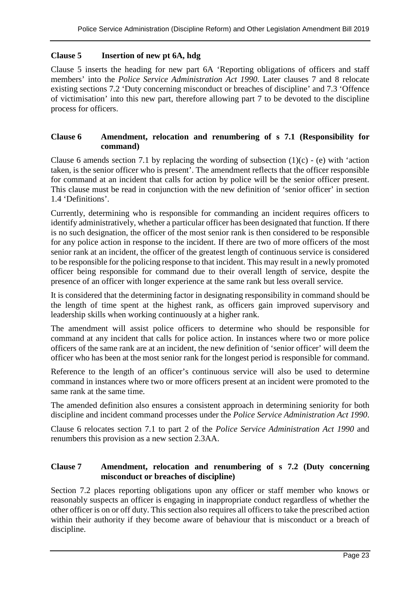#### **Clause 5 Insertion of new pt 6A, hdg**

Clause 5 inserts the heading for new part 6A 'Reporting obligations of officers and staff members' into the *Police Service Administration Act 1990*. Later clauses 7 and 8 relocate existing sections 7.2 'Duty concerning misconduct or breaches of discipline' and 7.3 'Offence of victimisation' into this new part, therefore allowing part 7 to be devoted to the discipline process for officers.

#### **Clause 6 Amendment, relocation and renumbering of s 7.1 (Responsibility for command)**

Clause 6 amends section 7.1 by replacing the wording of subsection  $(1)(c)$  - (e) with 'action taken, is the senior officer who is present'. The amendment reflects that the officer responsible for command at an incident that calls for action by police will be the senior officer present. This clause must be read in conjunction with the new definition of 'senior officer' in section 1.4 'Definitions'.

Currently, determining who is responsible for commanding an incident requires officers to identify administratively, whether a particular officer has been designated that function. If there is no such designation, the officer of the most senior rank is then considered to be responsible for any police action in response to the incident. If there are two of more officers of the most senior rank at an incident, the officer of the greatest length of continuous service is considered to be responsible for the policing response to that incident. This may result in a newly promoted officer being responsible for command due to their overall length of service, despite the presence of an officer with longer experience at the same rank but less overall service.

It is considered that the determining factor in designating responsibility in command should be the length of time spent at the highest rank, as officers gain improved supervisory and leadership skills when working continuously at a higher rank.

The amendment will assist police officers to determine who should be responsible for command at any incident that calls for police action. In instances where two or more police officers of the same rank are at an incident, the new definition of 'senior officer' will deem the officer who has been at the most senior rank for the longest period is responsible for command.

Reference to the length of an officer's continuous service will also be used to determine command in instances where two or more officers present at an incident were promoted to the same rank at the same time.

The amended definition also ensures a consistent approach in determining seniority for both discipline and incident command processes under the *Police Service Administration Act 1990*.

Clause 6 relocates section 7.1 to part 2 of the *Police Service Administration Act 1990* and renumbers this provision as a new section 2.3AA.

#### **Clause 7 Amendment, relocation and renumbering of s 7.2 (Duty concerning misconduct or breaches of discipline)**

Section 7.2 places reporting obligations upon any officer or staff member who knows or reasonably suspects an officer is engaging in inappropriate conduct regardless of whether the other officer is on or off duty. This section also requires all officers to take the prescribed action within their authority if they become aware of behaviour that is misconduct or a breach of discipline.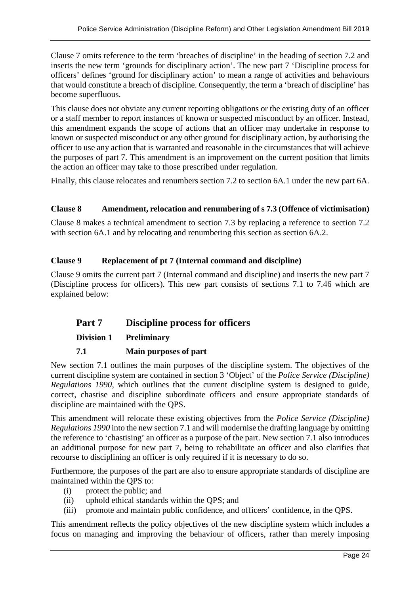Clause 7 omits reference to the term 'breaches of discipline' in the heading of section 7.2 and inserts the new term 'grounds for disciplinary action'. The new part 7 'Discipline process for officers' defines 'ground for disciplinary action' to mean a range of activities and behaviours that would constitute a breach of discipline. Consequently, the term a 'breach of discipline' has become superfluous.

This clause does not obviate any current reporting obligations or the existing duty of an officer or a staff member to report instances of known or suspected misconduct by an officer. Instead, this amendment expands the scope of actions that an officer may undertake in response to known or suspected misconduct or any other ground for disciplinary action, by authorising the officer to use any action that is warranted and reasonable in the circumstances that will achieve the purposes of part 7. This amendment is an improvement on the current position that limits the action an officer may take to those prescribed under regulation.

Finally, this clause relocates and renumbers section 7.2 to section 6A.1 under the new part 6A.

#### **Clause 8 Amendment, relocation and renumbering of s 7.3 (Offence of victimisation)**

Clause 8 makes a technical amendment to section 7.3 by replacing a reference to section 7.2 with section 6A.1 and by relocating and renumbering this section as section 6A.2.

#### **Clause 9 Replacement of pt 7 (Internal command and discipline)**

Clause 9 omits the current part 7 (Internal command and discipline) and inserts the new part 7 (Discipline process for officers). This new part consists of sections 7.1 to 7.46 which are explained below:

# **Part 7 Discipline process for officers**

#### **Division 1 Preliminary**

#### **7.1 Main purposes of part**

New section 7.1 outlines the main purposes of the discipline system. The objectives of the current discipline system are contained in section 3 'Object' of the *Police Service (Discipline) Regulations 1990*, which outlines that the current discipline system is designed to guide, correct, chastise and discipline subordinate officers and ensure appropriate standards of discipline are maintained with the QPS.

This amendment will relocate these existing objectives from the *Police Service (Discipline) Regulations 1990* into the new section 7.1 and will modernise the drafting language by omitting the reference to 'chastising' an officer as a purpose of the part. New section 7.1 also introduces an additional purpose for new part 7, being to rehabilitate an officer and also clarifies that recourse to disciplining an officer is only required if it is necessary to do so.

Furthermore, the purposes of the part are also to ensure appropriate standards of discipline are maintained within the QPS to:

- (i) protect the public; and
- (ii) uphold ethical standards within the QPS; and
- (iii) promote and maintain public confidence, and officers' confidence, in the QPS.

This amendment reflects the policy objectives of the new discipline system which includes a focus on managing and improving the behaviour of officers, rather than merely imposing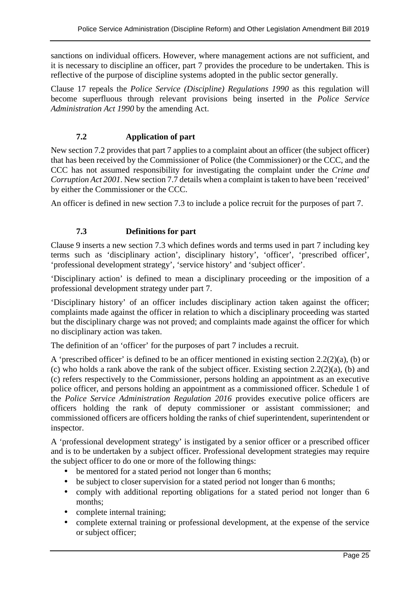sanctions on individual officers. However, where management actions are not sufficient, and it is necessary to discipline an officer, part 7 provides the procedure to be undertaken. This is reflective of the purpose of discipline systems adopted in the public sector generally.

Clause 17 repeals the *Police Service (Discipline) Regulations 1990* as this regulation will become superfluous through relevant provisions being inserted in the *Police Service Administration Act 1990* by the amending Act.

#### **7.2 Application of part**

New section 7.2 provides that part 7 applies to a complaint about an officer (the subject officer) that has been received by the Commissioner of Police (the Commissioner) or the CCC, and the CCC has not assumed responsibility for investigating the complaint under the *Crime and Corruption Act 2001*. New section 7.7 details when a complaint is taken to have been 'received' by either the Commissioner or the CCC.

An officer is defined in new section 7.3 to include a police recruit for the purposes of part 7.

#### **7.3 Definitions for part**

Clause 9 inserts a new section 7.3 which defines words and terms used in part 7 including key terms such as 'disciplinary action', disciplinary history', 'officer', 'prescribed officer', 'professional development strategy', 'service history' and 'subject officer'.

'Disciplinary action' is defined to mean a disciplinary proceeding or the imposition of a professional development strategy under part 7.

'Disciplinary history' of an officer includes disciplinary action taken against the officer; complaints made against the officer in relation to which a disciplinary proceeding was started but the disciplinary charge was not proved; and complaints made against the officer for which no disciplinary action was taken.

The definition of an 'officer' for the purposes of part 7 includes a recruit.

A 'prescribed officer' is defined to be an officer mentioned in existing section 2.2(2)(a), (b) or (c) who holds a rank above the rank of the subject officer. Existing section 2.2(2)(a), (b) and (c) refers respectively to the Commissioner, persons holding an appointment as an executive police officer, and persons holding an appointment as a commissioned officer. Schedule 1 of the *Police Service Administration Regulation 2016* provides executive police officers are officers holding the rank of deputy commissioner or assistant commissioner; and commissioned officers are officers holding the ranks of chief superintendent, superintendent or inspector.

A 'professional development strategy' is instigated by a senior officer or a prescribed officer and is to be undertaken by a subject officer. Professional development strategies may require the subject officer to do one or more of the following things:

- be mentored for a stated period not longer than 6 months;
- be subject to closer supervision for a stated period not longer than 6 months;
- comply with additional reporting obligations for a stated period not longer than 6 months;
- complete internal training;
- complete external training or professional development, at the expense of the service or subject officer;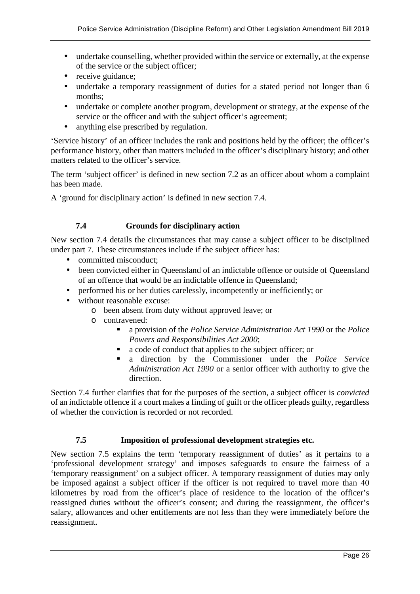- undertake counselling, whether provided within the service or externally, at the expense of the service or the subject officer;
- receive guidance;
- undertake a temporary reassignment of duties for a stated period not longer than 6 months;
- undertake or complete another program, development or strategy, at the expense of the service or the officer and with the subject officer's agreement;
- anything else prescribed by regulation.

'Service history' of an officer includes the rank and positions held by the officer; the officer's performance history, other than matters included in the officer's disciplinary history; and other matters related to the officer's service.

The term 'subject officer' is defined in new section 7.2 as an officer about whom a complaint has been made.

A 'ground for disciplinary action' is defined in new section 7.4.

#### **7.4 Grounds for disciplinary action**

New section 7.4 details the circumstances that may cause a subject officer to be disciplined under part 7. These circumstances include if the subject officer has:

- committed misconduct;
- been convicted either in Queensland of an indictable offence or outside of Queensland of an offence that would be an indictable offence in Queensland;
- performed his or her duties carelessly, incompetently or inefficiently; or
- without reasonable excuse:
	- o been absent from duty without approved leave; or
	- o contravened:
		- a provision of the *Police Service Administration Act 1990* or the *Police Powers and Responsibilities Act 2000*;
		- a code of conduct that applies to the subject officer; or
		- a direction by the Commissioner under the *Police Service Administration Act 1990* or a senior officer with authority to give the direction.

Section 7.4 further clarifies that for the purposes of the section, a subject officer is *convicted* of an indictable offence if a court makes a finding of guilt or the officer pleads guilty, regardless of whether the conviction is recorded or not recorded.

#### **7.5 Imposition of professional development strategies etc.**

New section 7.5 explains the term 'temporary reassignment of duties' as it pertains to a 'professional development strategy' and imposes safeguards to ensure the fairness of a 'temporary reassignment' on a subject officer. A temporary reassignment of duties may only be imposed against a subject officer if the officer is not required to travel more than 40 kilometres by road from the officer's place of residence to the location of the officer's reassigned duties without the officer's consent; and during the reassignment, the officer's salary, allowances and other entitlements are not less than they were immediately before the reassignment.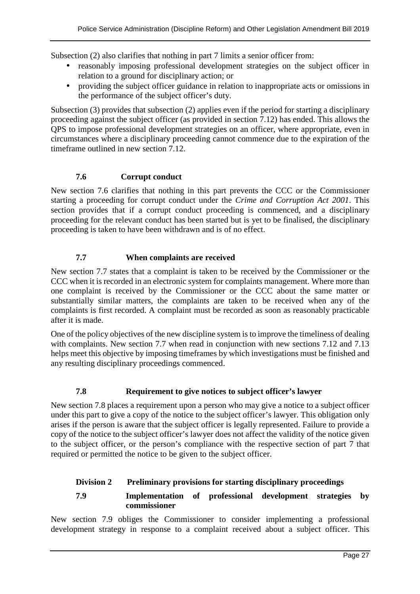Subsection (2) also clarifies that nothing in part 7 limits a senior officer from:

- reasonably imposing professional development strategies on the subject officer in relation to a ground for disciplinary action; or
- providing the subject officer guidance in relation to inappropriate acts or omissions in the performance of the subject officer's duty.

Subsection (3) provides that subsection (2) applies even if the period for starting a disciplinary proceeding against the subject officer (as provided in section 7.12) has ended. This allows the QPS to impose professional development strategies on an officer, where appropriate, even in circumstances where a disciplinary proceeding cannot commence due to the expiration of the timeframe outlined in new section 7.12.

#### **7.6 Corrupt conduct**

New section 7.6 clarifies that nothing in this part prevents the CCC or the Commissioner starting a proceeding for corrupt conduct under the *Crime and Corruption Act 2001*. This section provides that if a corrupt conduct proceeding is commenced, and a disciplinary proceeding for the relevant conduct has been started but is yet to be finalised, the disciplinary proceeding is taken to have been withdrawn and is of no effect.

#### **7.7 When complaints are received**

New section 7.7 states that a complaint is taken to be received by the Commissioner or the CCC when it is recorded in an electronic system for complaints management. Where more than one complaint is received by the Commissioner or the CCC about the same matter or substantially similar matters, the complaints are taken to be received when any of the complaints is first recorded. A complaint must be recorded as soon as reasonably practicable after it is made.

One of the policy objectives of the new discipline system is to improve the timeliness of dealing with complaints. New section 7.7 when read in conjunction with new sections 7.12 and 7.13 helps meet this objective by imposing timeframes by which investigations must be finished and any resulting disciplinary proceedings commenced.

# **7.8 Requirement to give notices to subject officer's lawyer**

New section 7.8 places a requirement upon a person who may give a notice to a subject officer under this part to give a copy of the notice to the subject officer's lawyer. This obligation only arises if the person is aware that the subject officer is legally represented. Failure to provide a copy of the notice to the subject officer's lawyer does not affect the validity of the notice given to the subject officer, or the person's compliance with the respective section of part 7 that required or permitted the notice to be given to the subject officer.

# **Division 2 Preliminary provisions for starting disciplinary proceedings**

#### **7.9 Implementation of professional development strategies by commissioner**

New section 7.9 obliges the Commissioner to consider implementing a professional development strategy in response to a complaint received about a subject officer. This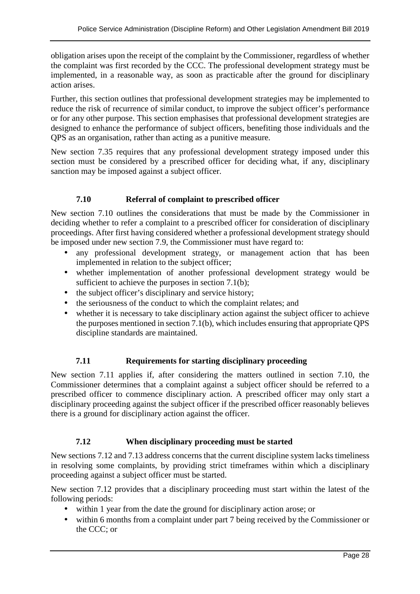obligation arises upon the receipt of the complaint by the Commissioner, regardless of whether the complaint was first recorded by the CCC. The professional development strategy must be implemented, in a reasonable way, as soon as practicable after the ground for disciplinary action arises.

Further, this section outlines that professional development strategies may be implemented to reduce the risk of recurrence of similar conduct, to improve the subject officer's performance or for any other purpose. This section emphasises that professional development strategies are designed to enhance the performance of subject officers, benefiting those individuals and the QPS as an organisation, rather than acting as a punitive measure.

New section 7.35 requires that any professional development strategy imposed under this section must be considered by a prescribed officer for deciding what, if any, disciplinary sanction may be imposed against a subject officer.

#### **7.10 Referral of complaint to prescribed officer**

New section 7.10 outlines the considerations that must be made by the Commissioner in deciding whether to refer a complaint to a prescribed officer for consideration of disciplinary proceedings. After first having considered whether a professional development strategy should be imposed under new section 7.9, the Commissioner must have regard to:

- any professional development strategy, or management action that has been implemented in relation to the subject officer;
- whether implementation of another professional development strategy would be sufficient to achieve the purposes in section 7.1(b);
- the subject officer's disciplinary and service history;
- the seriousness of the conduct to which the complaint relates; and
- whether it is necessary to take disciplinary action against the subject officer to achieve the purposes mentioned in section 7.1(b), which includes ensuring that appropriate QPS discipline standards are maintained.

#### **7.11 Requirements for starting disciplinary proceeding**

New section 7.11 applies if, after considering the matters outlined in section 7.10, the Commissioner determines that a complaint against a subject officer should be referred to a prescribed officer to commence disciplinary action. A prescribed officer may only start a disciplinary proceeding against the subject officer if the prescribed officer reasonably believes there is a ground for disciplinary action against the officer.

#### **7.12 When disciplinary proceeding must be started**

New sections 7.12 and 7.13 address concerns that the current discipline system lacks timeliness in resolving some complaints, by providing strict timeframes within which a disciplinary proceeding against a subject officer must be started.

New section 7.12 provides that a disciplinary proceeding must start within the latest of the following periods:

- within 1 year from the date the ground for disciplinary action arose; or
- within 6 months from a complaint under part 7 being received by the Commissioner or the CCC; or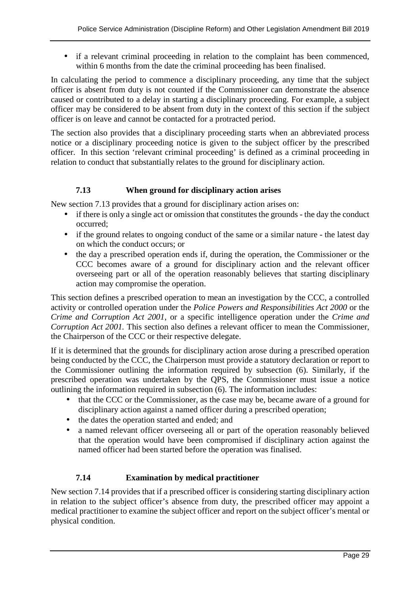• if a relevant criminal proceeding in relation to the complaint has been commenced, within 6 months from the date the criminal proceeding has been finalised.

In calculating the period to commence a disciplinary proceeding, any time that the subject officer is absent from duty is not counted if the Commissioner can demonstrate the absence caused or contributed to a delay in starting a disciplinary proceeding. For example, a subject officer may be considered to be absent from duty in the context of this section if the subject officer is on leave and cannot be contacted for a protracted period.

The section also provides that a disciplinary proceeding starts when an abbreviated process notice or a disciplinary proceeding notice is given to the subject officer by the prescribed officer. In this section 'relevant criminal proceeding' is defined as a criminal proceeding in relation to conduct that substantially relates to the ground for disciplinary action.

#### **7.13 When ground for disciplinary action arises**

New section 7.13 provides that a ground for disciplinary action arises on:

- if there is only a single act or omission that constitutes the grounds the day the conduct occurred;
- if the ground relates to ongoing conduct of the same or a similar nature the latest day on which the conduct occurs; or
- the day a prescribed operation ends if, during the operation, the Commissioner or the CCC becomes aware of a ground for disciplinary action and the relevant officer overseeing part or all of the operation reasonably believes that starting disciplinary action may compromise the operation.

This section defines a prescribed operation to mean an investigation by the CCC, a controlled activity or controlled operation under the *Police Powers and Responsibilities Act 2000* or the *Crime and Corruption Act 2001*, or a specific intelligence operation under the *Crime and Corruption Act 2001.* This section also defines a relevant officer to mean the Commissioner, the Chairperson of the CCC or their respective delegate.

If it is determined that the grounds for disciplinary action arose during a prescribed operation being conducted by the CCC, the Chairperson must provide a statutory declaration or report to the Commissioner outlining the information required by subsection (6). Similarly, if the prescribed operation was undertaken by the QPS, the Commissioner must issue a notice outlining the information required in subsection (6). The information includes:

- that the CCC or the Commissioner, as the case may be, became aware of a ground for disciplinary action against a named officer during a prescribed operation;
- the dates the operation started and ended; and
- a named relevant officer overseeing all or part of the operation reasonably believed that the operation would have been compromised if disciplinary action against the named officer had been started before the operation was finalised.

# **7.14 Examination by medical practitioner**

New section 7.14 provides that if a prescribed officer is considering starting disciplinary action in relation to the subject officer's absence from duty, the prescribed officer may appoint a medical practitioner to examine the subject officer and report on the subject officer's mental or physical condition.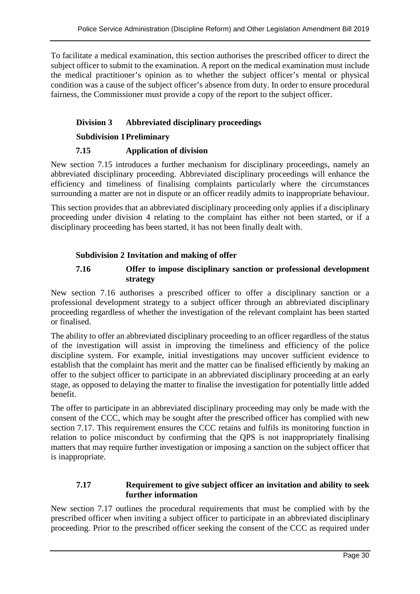To facilitate a medical examination, this section authorises the prescribed officer to direct the subject officer to submit to the examination. A report on the medical examination must include the medical practitioner's opinion as to whether the subject officer's mental or physical condition was a cause of the subject officer's absence from duty. In order to ensure procedural fairness, the Commissioner must provide a copy of the report to the subject officer.

#### **Division 3 Abbreviated disciplinary proceedings**

#### **Subdivision 1 Preliminary**

#### **7.15 Application of division**

New section 7.15 introduces a further mechanism for disciplinary proceedings, namely an abbreviated disciplinary proceeding. Abbreviated disciplinary proceedings will enhance the efficiency and timeliness of finalising complaints particularly where the circumstances surrounding a matter are not in dispute or an officer readily admits to inappropriate behaviour.

This section provides that an abbreviated disciplinary proceeding only applies if a disciplinary proceeding under division 4 relating to the complaint has either not been started, or if a disciplinary proceeding has been started, it has not been finally dealt with.

#### **Subdivision 2 Invitation and making of offer**

#### **7.16 Offer to impose disciplinary sanction or professional development strategy**

New section 7.16 authorises a prescribed officer to offer a disciplinary sanction or a professional development strategy to a subject officer through an abbreviated disciplinary proceeding regardless of whether the investigation of the relevant complaint has been started or finalised.

The ability to offer an abbreviated disciplinary proceeding to an officer regardless of the status of the investigation will assist in improving the timeliness and efficiency of the police discipline system. For example, initial investigations may uncover sufficient evidence to establish that the complaint has merit and the matter can be finalised efficiently by making an offer to the subject officer to participate in an abbreviated disciplinary proceeding at an early stage, as opposed to delaying the matter to finalise the investigation for potentially little added benefit.

The offer to participate in an abbreviated disciplinary proceeding may only be made with the consent of the CCC, which may be sought after the prescribed officer has complied with new section 7.17. This requirement ensures the CCC retains and fulfils its monitoring function in relation to police misconduct by confirming that the QPS is not inappropriately finalising matters that may require further investigation or imposing a sanction on the subject officer that is inappropriate.

#### **7.17 Requirement to give subject officer an invitation and ability to seek further information**

New section 7.17 outlines the procedural requirements that must be complied with by the prescribed officer when inviting a subject officer to participate in an abbreviated disciplinary proceeding. Prior to the prescribed officer seeking the consent of the CCC as required under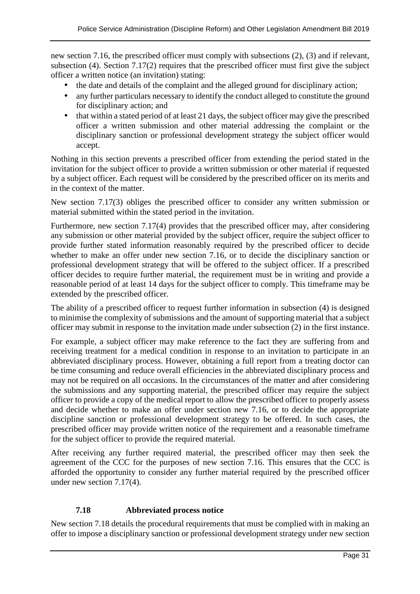new section 7.16, the prescribed officer must comply with subsections (2), (3) and if relevant, subsection (4). Section 7.17(2) requires that the prescribed officer must first give the subject officer a written notice (an invitation) stating:

- the date and details of the complaint and the alleged ground for disciplinary action;
- any further particulars necessary to identify the conduct alleged to constitute the ground for disciplinary action; and
- that within a stated period of at least 21 days, the subject officer may give the prescribed officer a written submission and other material addressing the complaint or the disciplinary sanction or professional development strategy the subject officer would accept.

Nothing in this section prevents a prescribed officer from extending the period stated in the invitation for the subject officer to provide a written submission or other material if requested by a subject officer. Each request will be considered by the prescribed officer on its merits and in the context of the matter.

New section 7.17(3) obliges the prescribed officer to consider any written submission or material submitted within the stated period in the invitation.

Furthermore, new section 7.17(4) provides that the prescribed officer may, after considering any submission or other material provided by the subject officer, require the subject officer to provide further stated information reasonably required by the prescribed officer to decide whether to make an offer under new section 7.16, or to decide the disciplinary sanction or professional development strategy that will be offered to the subject officer. If a prescribed officer decides to require further material, the requirement must be in writing and provide a reasonable period of at least 14 days for the subject officer to comply. This timeframe may be extended by the prescribed officer.

The ability of a prescribed officer to request further information in subsection (4) is designed to minimise the complexity of submissions and the amount of supporting material that a subject officer may submit in response to the invitation made under subsection (2) in the first instance.

For example, a subject officer may make reference to the fact they are suffering from and receiving treatment for a medical condition in response to an invitation to participate in an abbreviated disciplinary process. However, obtaining a full report from a treating doctor can be time consuming and reduce overall efficiencies in the abbreviated disciplinary process and may not be required on all occasions. In the circumstances of the matter and after considering the submissions and any supporting material, the prescribed officer may require the subject officer to provide a copy of the medical report to allow the prescribed officer to properly assess and decide whether to make an offer under section new 7.16, or to decide the appropriate discipline sanction or professional development strategy to be offered. In such cases, the prescribed officer may provide written notice of the requirement and a reasonable timeframe for the subject officer to provide the required material.

After receiving any further required material, the prescribed officer may then seek the agreement of the CCC for the purposes of new section 7.16. This ensures that the CCC is afforded the opportunity to consider any further material required by the prescribed officer under new section 7.17(4).

#### **7.18 Abbreviated process notice**

New section 7.18 details the procedural requirements that must be complied with in making an offer to impose a disciplinary sanction or professional development strategy under new section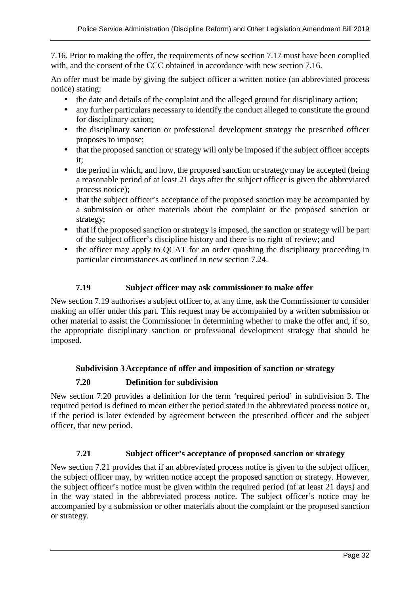7.16. Prior to making the offer, the requirements of new section 7.17 must have been complied with, and the consent of the CCC obtained in accordance with new section 7.16.

An offer must be made by giving the subject officer a written notice (an abbreviated process notice) stating:

- the date and details of the complaint and the alleged ground for disciplinary action;
- any further particulars necessary to identify the conduct alleged to constitute the ground for disciplinary action;
- the disciplinary sanction or professional development strategy the prescribed officer proposes to impose;
- that the proposed sanction or strategy will only be imposed if the subject officer accepts it;
- the period in which, and how, the proposed sanction or strategy may be accepted (being a reasonable period of at least 21 days after the subject officer is given the abbreviated process notice);
- that the subject officer's acceptance of the proposed sanction may be accompanied by a submission or other materials about the complaint or the proposed sanction or strategy;
- that if the proposed sanction or strategy is imposed, the sanction or strategy will be part of the subject officer's discipline history and there is no right of review; and
- the officer may apply to QCAT for an order quashing the disciplinary proceeding in particular circumstances as outlined in new section 7.24.

#### **7.19 Subject officer may ask commissioner to make offer**

New section 7.19 authorises a subject officer to, at any time, ask the Commissioner to consider making an offer under this part. This request may be accompanied by a written submission or other material to assist the Commissioner in determining whether to make the offer and, if so, the appropriate disciplinary sanction or professional development strategy that should be imposed.

#### **Subdivision 3 Acceptance of offer and imposition of sanction or strategy**

#### **7.20 Definition for subdivision**

New section 7.20 provides a definition for the term 'required period' in subdivision 3. The required period is defined to mean either the period stated in the abbreviated process notice or, if the period is later extended by agreement between the prescribed officer and the subject officer, that new period.

#### **7.21 Subject officer's acceptance of proposed sanction or strategy**

New section 7.21 provides that if an abbreviated process notice is given to the subject officer, the subject officer may, by written notice accept the proposed sanction or strategy. However, the subject officer's notice must be given within the required period (of at least 21 days) and in the way stated in the abbreviated process notice. The subject officer's notice may be accompanied by a submission or other materials about the complaint or the proposed sanction or strategy.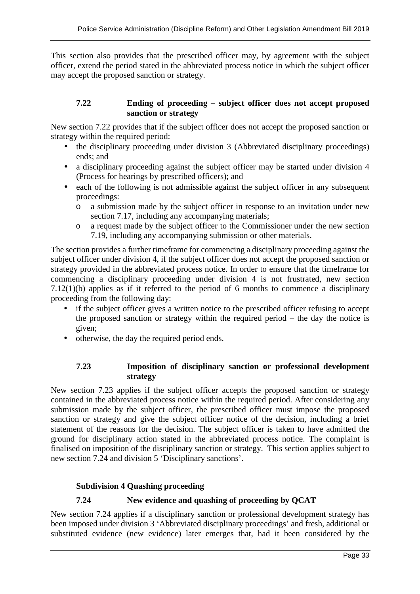This section also provides that the prescribed officer may, by agreement with the subject officer, extend the period stated in the abbreviated process notice in which the subject officer may accept the proposed sanction or strategy.

#### **7.22 Ending of proceeding – subject officer does not accept proposed sanction or strategy**

New section 7.22 provides that if the subject officer does not accept the proposed sanction or strategy within the required period:

- the disciplinary proceeding under division 3 (Abbreviated disciplinary proceedings) ends; and
- a disciplinary proceeding against the subject officer may be started under division 4 (Process for hearings by prescribed officers); and
- each of the following is not admissible against the subject officer in any subsequent proceedings:
	- o a submission made by the subject officer in response to an invitation under new section 7.17, including any accompanying materials;
	- o a request made by the subject officer to the Commissioner under the new section 7.19, including any accompanying submission or other materials.

The section provides a further timeframe for commencing a disciplinary proceeding against the subject officer under division 4, if the subject officer does not accept the proposed sanction or strategy provided in the abbreviated process notice. In order to ensure that the timeframe for commencing a disciplinary proceeding under division 4 is not frustrated, new section 7.12(1)(b) applies as if it referred to the period of 6 months to commence a disciplinary proceeding from the following day:

- if the subject officer gives a written notice to the prescribed officer refusing to accept the proposed sanction or strategy within the required period – the day the notice is given;
- otherwise, the day the required period ends.

#### **7.23 Imposition of disciplinary sanction or professional development strategy**

New section 7.23 applies if the subject officer accepts the proposed sanction or strategy contained in the abbreviated process notice within the required period. After considering any submission made by the subject officer, the prescribed officer must impose the proposed sanction or strategy and give the subject officer notice of the decision, including a brief statement of the reasons for the decision. The subject officer is taken to have admitted the ground for disciplinary action stated in the abbreviated process notice. The complaint is finalised on imposition of the disciplinary sanction or strategy. This section applies subject to new section 7.24 and division 5 'Disciplinary sanctions'.

# **Subdivision 4 Quashing proceeding**

# **7.24 New evidence and quashing of proceeding by QCAT**

New section 7.24 applies if a disciplinary sanction or professional development strategy has been imposed under division 3 'Abbreviated disciplinary proceedings' and fresh, additional or substituted evidence (new evidence) later emerges that, had it been considered by the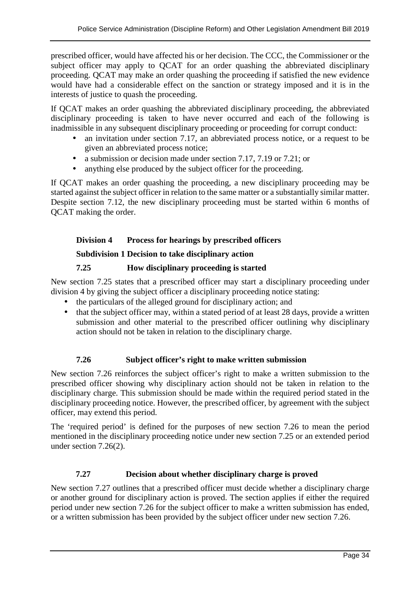prescribed officer, would have affected his or her decision. The CCC, the Commissioner or the subject officer may apply to QCAT for an order quashing the abbreviated disciplinary proceeding. QCAT may make an order quashing the proceeding if satisfied the new evidence would have had a considerable effect on the sanction or strategy imposed and it is in the interests of justice to quash the proceeding.

If QCAT makes an order quashing the abbreviated disciplinary proceeding, the abbreviated disciplinary proceeding is taken to have never occurred and each of the following is inadmissible in any subsequent disciplinary proceeding or proceeding for corrupt conduct:

- an invitation under section 7.17, an abbreviated process notice, or a request to be given an abbreviated process notice;
- a submission or decision made under section 7.17, 7.19 or 7.21; or
- anything else produced by the subject officer for the proceeding.

If QCAT makes an order quashing the proceeding, a new disciplinary proceeding may be started against the subject officer in relation to the same matter or a substantially similar matter. Despite section 7.12, the new disciplinary proceeding must be started within 6 months of QCAT making the order.

# **Division 4 Process for hearings by prescribed officers**

#### **Subdivision 1 Decision to take disciplinary action**

# **7.25 How disciplinary proceeding is started**

New section 7.25 states that a prescribed officer may start a disciplinary proceeding under division 4 by giving the subject officer a disciplinary proceeding notice stating:

- the particulars of the alleged ground for disciplinary action; and
- that the subject officer may, within a stated period of at least 28 days, provide a written submission and other material to the prescribed officer outlining why disciplinary action should not be taken in relation to the disciplinary charge.

# **7.26 Subject officer's right to make written submission**

New section 7.26 reinforces the subject officer's right to make a written submission to the prescribed officer showing why disciplinary action should not be taken in relation to the disciplinary charge. This submission should be made within the required period stated in the disciplinary proceeding notice. However, the prescribed officer, by agreement with the subject officer, may extend this period.

The 'required period' is defined for the purposes of new section 7.26 to mean the period mentioned in the disciplinary proceeding notice under new section 7.25 or an extended period under section 7.26(2).

# **7.27 Decision about whether disciplinary charge is proved**

New section 7.27 outlines that a prescribed officer must decide whether a disciplinary charge or another ground for disciplinary action is proved. The section applies if either the required period under new section 7.26 for the subject officer to make a written submission has ended, or a written submission has been provided by the subject officer under new section 7.26.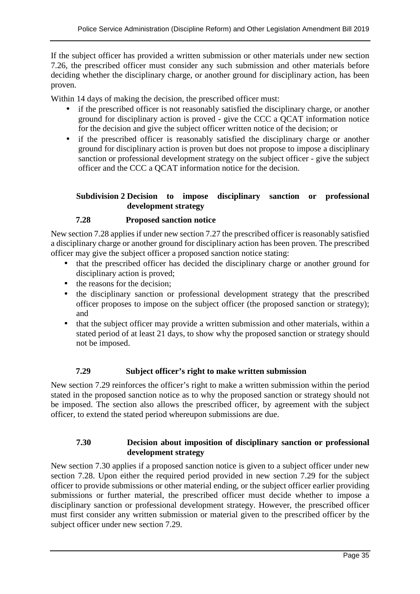If the subject officer has provided a written submission or other materials under new section 7.26, the prescribed officer must consider any such submission and other materials before deciding whether the disciplinary charge, or another ground for disciplinary action, has been proven.

Within 14 days of making the decision, the prescribed officer must:

- if the prescribed officer is not reasonably satisfied the disciplinary charge, or another ground for disciplinary action is proved - give the CCC a QCAT information notice for the decision and give the subject officer written notice of the decision; or
- if the prescribed officer is reasonably satisfied the disciplinary charge or another ground for disciplinary action is proven but does not propose to impose a disciplinary sanction or professional development strategy on the subject officer - give the subject officer and the CCC a QCAT information notice for the decision.

#### **Subdivision 2 Decision to impose disciplinary sanction or professional development strategy**

#### **7.28 Proposed sanction notice**

New section 7.28 applies if under new section 7.27 the prescribed officer is reasonably satisfied a disciplinary charge or another ground for disciplinary action has been proven. The prescribed officer may give the subject officer a proposed sanction notice stating:

- that the prescribed officer has decided the disciplinary charge or another ground for disciplinary action is proved;
- the reasons for the decision;
- the disciplinary sanction or professional development strategy that the prescribed officer proposes to impose on the subject officer (the proposed sanction or strategy); and
- that the subject officer may provide a written submission and other materials, within a stated period of at least 21 days, to show why the proposed sanction or strategy should not be imposed.

#### **7.29 Subject officer's right to make written submission**

New section 7.29 reinforces the officer's right to make a written submission within the period stated in the proposed sanction notice as to why the proposed sanction or strategy should not be imposed. The section also allows the prescribed officer, by agreement with the subject officer, to extend the stated period whereupon submissions are due.

#### **7.30 Decision about imposition of disciplinary sanction or professional development strategy**

New section 7.30 applies if a proposed sanction notice is given to a subject officer under new section 7.28. Upon either the required period provided in new section 7.29 for the subject officer to provide submissions or other material ending, or the subject officer earlier providing submissions or further material, the prescribed officer must decide whether to impose a disciplinary sanction or professional development strategy. However, the prescribed officer must first consider any written submission or material given to the prescribed officer by the subject officer under new section 7.29.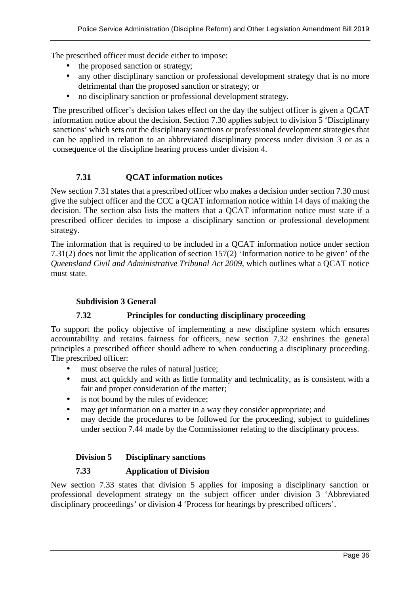The prescribed officer must decide either to impose:

- the proposed sanction or strategy;
- any other disciplinary sanction or professional development strategy that is no more detrimental than the proposed sanction or strategy; or
- no disciplinary sanction or professional development strategy.

The prescribed officer's decision takes effect on the day the subject officer is given a QCAT information notice about the decision. Section 7.30 applies subject to division 5 'Disciplinary sanctions' which sets out the disciplinary sanctions or professional development strategies that can be applied in relation to an abbreviated disciplinary process under division 3 or as a consequence of the discipline hearing process under division 4.

#### **7.31 QCAT information notices**

New section 7.31 states that a prescribed officer who makes a decision under section 7.30 must give the subject officer and the CCC a QCAT information notice within 14 days of making the decision. The section also lists the matters that a QCAT information notice must state if a prescribed officer decides to impose a disciplinary sanction or professional development strategy.

The information that is required to be included in a QCAT information notice under section 7.31(2) does not limit the application of section 157(2) 'Information notice to be given' of the *Queensland Civil and Administrative Tribunal Act 2009*, which outlines what a QCAT notice must state.

#### **Subdivision 3 General**

#### **7.32 Principles for conducting disciplinary proceeding**

To support the policy objective of implementing a new discipline system which ensures accountability and retains fairness for officers, new section 7.32 enshrines the general principles a prescribed officer should adhere to when conducting a disciplinary proceeding. The prescribed officer:

- must observe the rules of natural justice;
- must act quickly and with as little formality and technicality, as is consistent with a fair and proper consideration of the matter;
- is not bound by the rules of evidence;
- may get information on a matter in a way they consider appropriate; and
- may decide the procedures to be followed for the proceeding, subject to guidelines under section 7.44 made by the Commissioner relating to the disciplinary process.

#### **Division 5 Disciplinary sanctions**

#### **7.33 Application of Division**

New section 7.33 states that division 5 applies for imposing a disciplinary sanction or professional development strategy on the subject officer under division 3 'Abbreviated disciplinary proceedings' or division 4 'Process for hearings by prescribed officers'.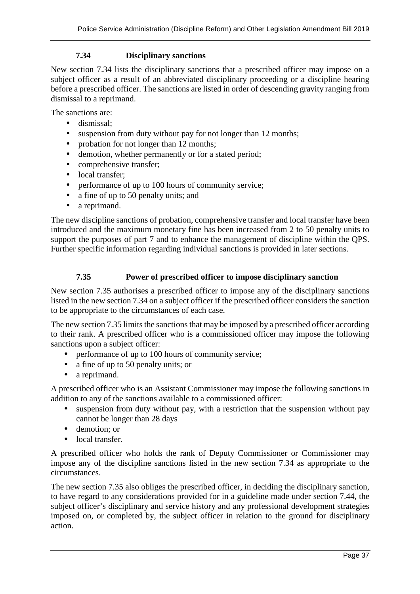#### **7.34 Disciplinary sanctions**

New section 7.34 lists the disciplinary sanctions that a prescribed officer may impose on a subject officer as a result of an abbreviated disciplinary proceeding or a discipline hearing before a prescribed officer. The sanctions are listed in order of descending gravity ranging from dismissal to a reprimand.

The sanctions are:

- dismissal;
- suspension from duty without pay for not longer than 12 months;
- probation for not longer than 12 months;
- demotion, whether permanently or for a stated period;
- comprehensive transfer;
- local transfer:
- performance of up to 100 hours of community service;
- a fine of up to 50 penalty units; and
- a reprimand.

The new discipline sanctions of probation, comprehensive transfer and local transfer have been introduced and the maximum monetary fine has been increased from 2 to 50 penalty units to support the purposes of part 7 and to enhance the management of discipline within the QPS. Further specific information regarding individual sanctions is provided in later sections.

#### **7.35 Power of prescribed officer to impose disciplinary sanction**

New section 7.35 authorises a prescribed officer to impose any of the disciplinary sanctions listed in the new section 7.34 on a subject officer if the prescribed officer considers the sanction to be appropriate to the circumstances of each case.

The new section 7.35 limits the sanctions that may be imposed by a prescribed officer according to their rank. A prescribed officer who is a commissioned officer may impose the following sanctions upon a subject officer:

- performance of up to 100 hours of community service;
- a fine of up to 50 penalty units; or
- a reprimand.

A prescribed officer who is an Assistant Commissioner may impose the following sanctions in addition to any of the sanctions available to a commissioned officer:

- suspension from duty without pay, with a restriction that the suspension without pay cannot be longer than 28 days
- demotion: or
- local transfer.

A prescribed officer who holds the rank of Deputy Commissioner or Commissioner may impose any of the discipline sanctions listed in the new section 7.34 as appropriate to the circumstances.

The new section 7.35 also obliges the prescribed officer, in deciding the disciplinary sanction, to have regard to any considerations provided for in a guideline made under section 7.44, the subject officer's disciplinary and service history and any professional development strategies imposed on, or completed by, the subject officer in relation to the ground for disciplinary action.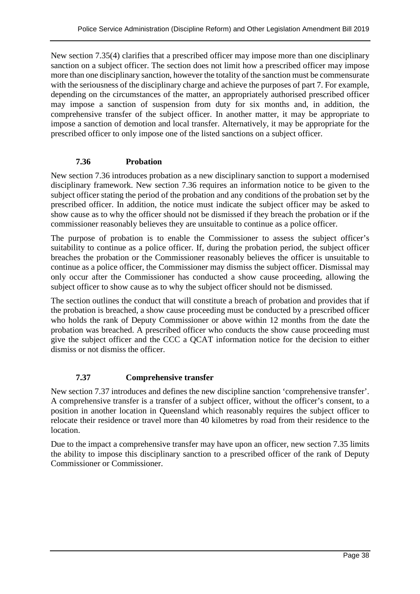New section 7.35(4) clarifies that a prescribed officer may impose more than one disciplinary sanction on a subject officer. The section does not limit how a prescribed officer may impose more than one disciplinary sanction, however the totality of the sanction must be commensurate with the seriousness of the disciplinary charge and achieve the purposes of part 7. For example, depending on the circumstances of the matter, an appropriately authorised prescribed officer may impose a sanction of suspension from duty for six months and, in addition, the comprehensive transfer of the subject officer. In another matter, it may be appropriate to impose a sanction of demotion and local transfer. Alternatively, it may be appropriate for the prescribed officer to only impose one of the listed sanctions on a subject officer.

#### **7.36 Probation**

New section 7.36 introduces probation as a new disciplinary sanction to support a modernised disciplinary framework. New section 7.36 requires an information notice to be given to the subject officer stating the period of the probation and any conditions of the probation set by the prescribed officer. In addition, the notice must indicate the subject officer may be asked to show cause as to why the officer should not be dismissed if they breach the probation or if the commissioner reasonably believes they are unsuitable to continue as a police officer.

The purpose of probation is to enable the Commissioner to assess the subject officer's suitability to continue as a police officer. If, during the probation period, the subject officer breaches the probation or the Commissioner reasonably believes the officer is unsuitable to continue as a police officer, the Commissioner may dismiss the subject officer. Dismissal may only occur after the Commissioner has conducted a show cause proceeding, allowing the subject officer to show cause as to why the subject officer should not be dismissed.

The section outlines the conduct that will constitute a breach of probation and provides that if the probation is breached, a show cause proceeding must be conducted by a prescribed officer who holds the rank of Deputy Commissioner or above within 12 months from the date the probation was breached. A prescribed officer who conducts the show cause proceeding must give the subject officer and the CCC a QCAT information notice for the decision to either dismiss or not dismiss the officer.

#### **7.37 Comprehensive transfer**

New section 7.37 introduces and defines the new discipline sanction 'comprehensive transfer'. A comprehensive transfer is a transfer of a subject officer, without the officer's consent, to a position in another location in Queensland which reasonably requires the subject officer to relocate their residence or travel more than 40 kilometres by road from their residence to the location.

Due to the impact a comprehensive transfer may have upon an officer, new section 7.35 limits the ability to impose this disciplinary sanction to a prescribed officer of the rank of Deputy Commissioner or Commissioner.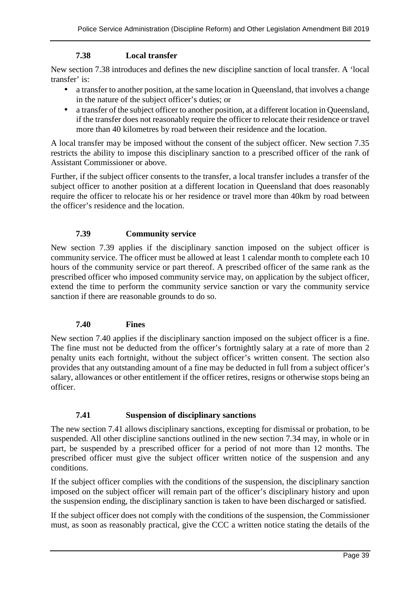#### **7.38 Local transfer**

New section 7.38 introduces and defines the new discipline sanction of local transfer. A 'local transfer' is:

- a transfer to another position, at the same location in Queensland, that involves a change in the nature of the subject officer's duties; or
- a transfer of the subject officer to another position, at a different location in Queensland, if the transfer does not reasonably require the officer to relocate their residence or travel more than 40 kilometres by road between their residence and the location.

A local transfer may be imposed without the consent of the subject officer. New section 7.35 restricts the ability to impose this disciplinary sanction to a prescribed officer of the rank of Assistant Commissioner or above.

Further, if the subject officer consents to the transfer, a local transfer includes a transfer of the subject officer to another position at a different location in Queensland that does reasonably require the officer to relocate his or her residence or travel more than 40km by road between the officer's residence and the location.

#### **7.39 Community service**

New section 7.39 applies if the disciplinary sanction imposed on the subject officer is community service. The officer must be allowed at least 1 calendar month to complete each 10 hours of the community service or part thereof. A prescribed officer of the same rank as the prescribed officer who imposed community service may, on application by the subject officer, extend the time to perform the community service sanction or vary the community service sanction if there are reasonable grounds to do so.

#### **7.40 Fines**

New section 7.40 applies if the disciplinary sanction imposed on the subject officer is a fine. The fine must not be deducted from the officer's fortnightly salary at a rate of more than 2 penalty units each fortnight, without the subject officer's written consent. The section also provides that any outstanding amount of a fine may be deducted in full from a subject officer's salary, allowances or other entitlement if the officer retires, resigns or otherwise stops being an officer.

#### **7.41 Suspension of disciplinary sanctions**

The new section 7.41 allows disciplinary sanctions, excepting for dismissal or probation, to be suspended. All other discipline sanctions outlined in the new section 7.34 may, in whole or in part, be suspended by a prescribed officer for a period of not more than 12 months. The prescribed officer must give the subject officer written notice of the suspension and any conditions.

If the subject officer complies with the conditions of the suspension, the disciplinary sanction imposed on the subject officer will remain part of the officer's disciplinary history and upon the suspension ending, the disciplinary sanction is taken to have been discharged or satisfied.

If the subject officer does not comply with the conditions of the suspension, the Commissioner must, as soon as reasonably practical, give the CCC a written notice stating the details of the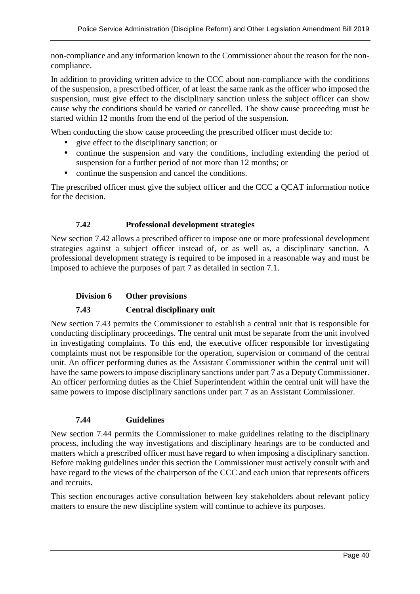non-compliance and any information known to the Commissioner about the reason for the noncompliance.

In addition to providing written advice to the CCC about non-compliance with the conditions of the suspension, a prescribed officer, of at least the same rank as the officer who imposed the suspension, must give effect to the disciplinary sanction unless the subject officer can show cause why the conditions should be varied or cancelled. The show cause proceeding must be started within 12 months from the end of the period of the suspension.

When conducting the show cause proceeding the prescribed officer must decide to:

- give effect to the disciplinary sanction; or
- continue the suspension and vary the conditions, including extending the period of suspension for a further period of not more than 12 months; or
- continue the suspension and cancel the conditions.

The prescribed officer must give the subject officer and the CCC a QCAT information notice for the decision.

#### **7.42 Professional development strategies**

New section 7.42 allows a prescribed officer to impose one or more professional development strategies against a subject officer instead of, or as well as, a disciplinary sanction. A professional development strategy is required to be imposed in a reasonable way and must be imposed to achieve the purposes of part 7 as detailed in section 7.1.

#### **Division 6 Other provisions**

#### **7.43 Central disciplinary unit**

New section 7.43 permits the Commissioner to establish a central unit that is responsible for conducting disciplinary proceedings. The central unit must be separate from the unit involved in investigating complaints. To this end, the executive officer responsible for investigating complaints must not be responsible for the operation, supervision or command of the central unit. An officer performing duties as the Assistant Commissioner within the central unit will have the same powers to impose disciplinary sanctions under part 7 as a Deputy Commissioner. An officer performing duties as the Chief Superintendent within the central unit will have the same powers to impose disciplinary sanctions under part 7 as an Assistant Commissioner.

#### **7.44 Guidelines**

New section 7.44 permits the Commissioner to make guidelines relating to the disciplinary process, including the way investigations and disciplinary hearings are to be conducted and matters which a prescribed officer must have regard to when imposing a disciplinary sanction. Before making guidelines under this section the Commissioner must actively consult with and have regard to the views of the chairperson of the CCC and each union that represents officers and recruits.

This section encourages active consultation between key stakeholders about relevant policy matters to ensure the new discipline system will continue to achieve its purposes.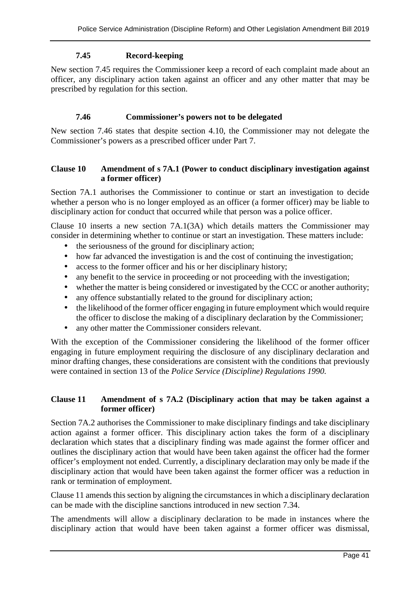#### **7.45 Record-keeping**

New section 7.45 requires the Commissioner keep a record of each complaint made about an officer, any disciplinary action taken against an officer and any other matter that may be prescribed by regulation for this section.

#### **7.46 Commissioner's powers not to be delegated**

New section 7.46 states that despite section 4.10, the Commissioner may not delegate the Commissioner's powers as a prescribed officer under Part 7.

#### **Clause 10 Amendment of s 7A.1 (Power to conduct disciplinary investigation against a former officer)**

Section 7A.1 authorises the Commissioner to continue or start an investigation to decide whether a person who is no longer employed as an officer (a former officer) may be liable to disciplinary action for conduct that occurred while that person was a police officer.

Clause 10 inserts a new section 7A.1(3A) which details matters the Commissioner may consider in determining whether to continue or start an investigation. These matters include:

- the seriousness of the ground for disciplinary action;
- how far advanced the investigation is and the cost of continuing the investigation;
- access to the former officer and his or her disciplinary history:
- any benefit to the service in proceeding or not proceeding with the investigation;
- whether the matter is being considered or investigated by the CCC or another authority;
- any offence substantially related to the ground for disciplinary action;
- the likelihood of the former officer engaging in future employment which would require the officer to disclose the making of a disciplinary declaration by the Commissioner;
- any other matter the Commissioner considers relevant.

With the exception of the Commissioner considering the likelihood of the former officer engaging in future employment requiring the disclosure of any disciplinary declaration and minor drafting changes, these considerations are consistent with the conditions that previously were contained in section 13 of the *Police Service (Discipline) Regulations 1990.* 

#### **Clause 11 Amendment of s 7A.2 (Disciplinary action that may be taken against a former officer)**

Section 7A.2 authorises the Commissioner to make disciplinary findings and take disciplinary action against a former officer. This disciplinary action takes the form of a disciplinary declaration which states that a disciplinary finding was made against the former officer and outlines the disciplinary action that would have been taken against the officer had the former officer's employment not ended. Currently, a disciplinary declaration may only be made if the disciplinary action that would have been taken against the former officer was a reduction in rank or termination of employment.

Clause 11 amends this section by aligning the circumstances in which a disciplinary declaration can be made with the discipline sanctions introduced in new section 7.34.

The amendments will allow a disciplinary declaration to be made in instances where the disciplinary action that would have been taken against a former officer was dismissal,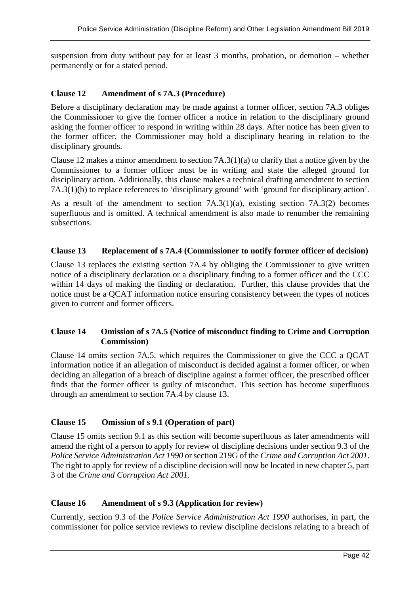suspension from duty without pay for at least 3 months, probation, or demotion – whether permanently or for a stated period.

#### **Clause 12 Amendment of s 7A.3 (Procedure)**

Before a disciplinary declaration may be made against a former officer, section 7A.3 obliges the Commissioner to give the former officer a notice in relation to the disciplinary ground asking the former officer to respond in writing within 28 days. After notice has been given to the former officer, the Commissioner may hold a disciplinary hearing in relation to the disciplinary grounds.

Clause 12 makes a minor amendment to section 7A.3(1)(a) to clarify that a notice given by the Commissioner to a former officer must be in writing and state the alleged ground for disciplinary action. Additionally, this clause makes a technical drafting amendment to section 7A.3(1)(b) to replace references to 'disciplinary ground' with 'ground for disciplinary action'.

As a result of the amendment to section 7A.3(1)(a), existing section 7A.3(2) becomes superfluous and is omitted. A technical amendment is also made to renumber the remaining subsections.

#### **Clause 13 Replacement of s 7A.4 (Commissioner to notify former officer of decision)**

Clause 13 replaces the existing section 7A.4 by obliging the Commissioner to give written notice of a disciplinary declaration or a disciplinary finding to a former officer and the CCC within 14 days of making the finding or declaration. Further, this clause provides that the notice must be a QCAT information notice ensuring consistency between the types of notices given to current and former officers.

#### **Clause 14 Omission of s 7A.5 (Notice of misconduct finding to Crime and Corruption Commission)**

Clause 14 omits section 7A.5, which requires the Commissioner to give the CCC a QCAT information notice if an allegation of misconduct is decided against a former officer, or when deciding an allegation of a breach of discipline against a former officer, the prescribed officer finds that the former officer is guilty of misconduct. This section has become superfluous through an amendment to section 7A.4 by clause 13.

#### **Clause 15 Omission of s 9.1 (Operation of part)**

Clause 15 omits section 9.1 as this section will become superfluous as later amendments will amend the right of a person to apply for review of discipline decisions under section 9.3 of the *Police Service Administration Act 1990* or section 219G of the *Crime and Corruption Act 2001*. The right to apply for review of a discipline decision will now be located in new chapter 5, part 3 of the *Crime and Corruption Act 2001.*

#### **Clause 16 Amendment of s 9.3 (Application for review)**

Currently, section 9.3 of the *Police Service Administration Act 1990* authorises, in part, the commissioner for police service reviews to review discipline decisions relating to a breach of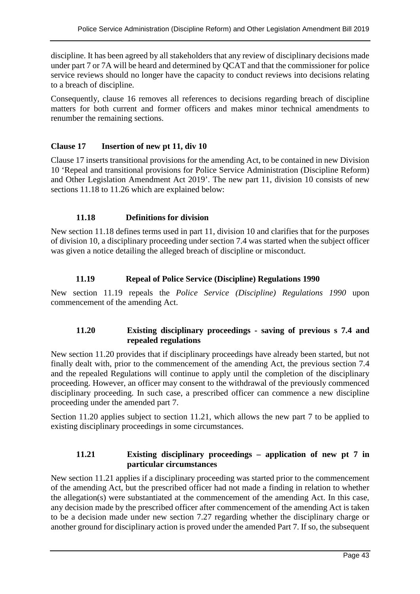discipline. It has been agreed by all stakeholders that any review of disciplinary decisions made under part 7 or 7A will be heard and determined by QCAT and that the commissioner for police service reviews should no longer have the capacity to conduct reviews into decisions relating to a breach of discipline.

Consequently, clause 16 removes all references to decisions regarding breach of discipline matters for both current and former officers and makes minor technical amendments to renumber the remaining sections.

#### **Clause 17 Insertion of new pt 11, div 10**

Clause 17 inserts transitional provisions for the amending Act, to be contained in new Division 10 'Repeal and transitional provisions for Police Service Administration (Discipline Reform) and Other Legislation Amendment Act 2019'. The new part 11, division 10 consists of new sections 11.18 to 11.26 which are explained below:

#### **11.18 Definitions for division**

New section 11.18 defines terms used in part 11, division 10 and clarifies that for the purposes of division 10, a disciplinary proceeding under section 7.4 was started when the subject officer was given a notice detailing the alleged breach of discipline or misconduct.

#### **11.19 Repeal of Police Service (Discipline) Regulations 1990**

New section 11.19 repeals the *Police Service (Discipline) Regulations 1990* upon commencement of the amending Act.

#### **11.20 Existing disciplinary proceedings - saving of previous s 7.4 and repealed regulations**

New section 11.20 provides that if disciplinary proceedings have already been started, but not finally dealt with, prior to the commencement of the amending Act, the previous section 7.4 and the repealed Regulations will continue to apply until the completion of the disciplinary proceeding. However, an officer may consent to the withdrawal of the previously commenced disciplinary proceeding. In such case, a prescribed officer can commence a new discipline proceeding under the amended part 7.

Section 11.20 applies subject to section 11.21, which allows the new part 7 to be applied to existing disciplinary proceedings in some circumstances.

#### **11.21 Existing disciplinary proceedings – application of new pt 7 in particular circumstances**

New section 11.21 applies if a disciplinary proceeding was started prior to the commencement of the amending Act, but the prescribed officer had not made a finding in relation to whether the allegation(s) were substantiated at the commencement of the amending Act. In this case, any decision made by the prescribed officer after commencement of the amending Act is taken to be a decision made under new section 7.27 regarding whether the disciplinary charge or another ground for disciplinary action is proved under the amended Part 7. If so, the subsequent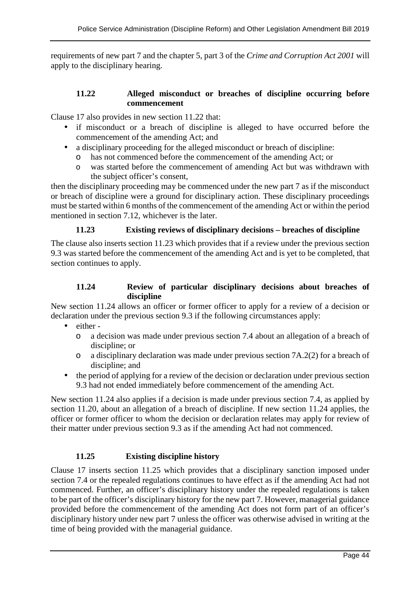requirements of new part 7 and the chapter 5, part 3 of the *Crime and Corruption Act 2001* will apply to the disciplinary hearing.

#### **11.22 Alleged misconduct or breaches of discipline occurring before commencement**

Clause 17 also provides in new section 11.22 that:

- if misconduct or a breach of discipline is alleged to have occurred before the commencement of the amending Act; and
- a disciplinary proceeding for the alleged misconduct or breach of discipline:
	- o has not commenced before the commencement of the amending Act; or
	- o was started before the commencement of amending Act but was withdrawn with the subject officer's consent,

then the disciplinary proceeding may be commenced under the new part 7 as if the misconduct or breach of discipline were a ground for disciplinary action. These disciplinary proceedings must be started within 6 months of the commencement of the amending Act or within the period mentioned in section 7.12, whichever is the later.

#### **11.23 Existing reviews of disciplinary decisions – breaches of discipline**

The clause also inserts section 11.23 which provides that if a review under the previous section 9.3 was started before the commencement of the amending Act and is yet to be completed, that section continues to apply.

#### **11.24 Review of particular disciplinary decisions about breaches of discipline**

New section 11.24 allows an officer or former officer to apply for a review of a decision or declaration under the previous section 9.3 if the following circumstances apply:

- either
	- o a decision was made under previous section 7.4 about an allegation of a breach of discipline; or
	- o a disciplinary declaration was made under previous section 7A.2(2) for a breach of discipline; and
- the period of applying for a review of the decision or declaration under previous section 9.3 had not ended immediately before commencement of the amending Act.

New section 11.24 also applies if a decision is made under previous section 7.4, as applied by section 11.20, about an allegation of a breach of discipline. If new section 11.24 applies, the officer or former officer to whom the decision or declaration relates may apply for review of their matter under previous section 9.3 as if the amending Act had not commenced.

#### **11.25 Existing discipline history**

Clause 17 inserts section 11.25 which provides that a disciplinary sanction imposed under section 7.4 or the repealed regulations continues to have effect as if the amending Act had not commenced. Further, an officer's disciplinary history under the repealed regulations is taken to be part of the officer's disciplinary history for the new part 7. However, managerial guidance provided before the commencement of the amending Act does not form part of an officer's disciplinary history under new part 7 unless the officer was otherwise advised in writing at the time of being provided with the managerial guidance.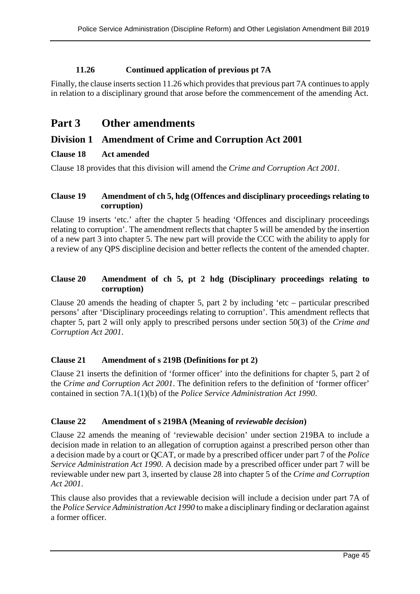# **11.26 Continued application of previous pt 7A**

Finally, the clause inserts section 11.26 which provides that previous part 7A continues to apply in relation to a disciplinary ground that arose before the commencement of the amending Act.

# **Part 3 Other amendments**

# **Division 1 Amendment of Crime and Corruption Act 2001**

#### **Clause 18 Act amended**

Clause 18 provides that this division will amend the *Crime and Corruption Act 2001*.

#### **Clause 19 Amendment of ch 5, hdg (Offences and disciplinary proceedings relating to corruption)**

Clause 19 inserts 'etc.' after the chapter 5 heading 'Offences and disciplinary proceedings relating to corruption'. The amendment reflects that chapter 5 will be amended by the insertion of a new part 3 into chapter 5. The new part will provide the CCC with the ability to apply for a review of any QPS discipline decision and better reflects the content of the amended chapter.

#### **Clause 20 Amendment of ch 5, pt 2 hdg (Disciplinary proceedings relating to corruption)**

Clause 20 amends the heading of chapter 5, part 2 by including 'etc – particular prescribed persons' after 'Disciplinary proceedings relating to corruption'. This amendment reflects that chapter 5, part 2 will only apply to prescribed persons under section 50(3) of the *Crime and Corruption Act 2001*.

#### **Clause 21 Amendment of s 219B (Definitions for pt 2)**

Clause 21 inserts the definition of 'former officer' into the definitions for chapter 5, part 2 of the *Crime and Corruption Act 2001*. The definition refers to the definition of 'former officer' contained in section 7A.1(1)(b) of the *Police Service Administration Act 1990*.

# **Clause 22 Amendment of s 219BA (Meaning of** *reviewable decision***)**

Clause 22 amends the meaning of 'reviewable decision' under section 219BA to include a decision made in relation to an allegation of corruption against a prescribed person other than a decision made by a court or QCAT, or made by a prescribed officer under part 7 of the *Police Service Administration Act 1990*. A decision made by a prescribed officer under part 7 will be reviewable under new part 3, inserted by clause 28 into chapter 5 of the *Crime and Corruption Act 2001*.

This clause also provides that a reviewable decision will include a decision under part 7A of the *Police Service Administration Act 1990* to make a disciplinary finding or declaration against a former officer.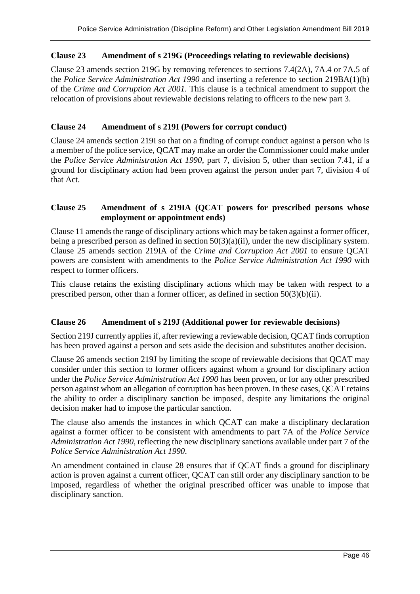#### **Clause 23 Amendment of s 219G (Proceedings relating to reviewable decisions)**

Clause 23 amends section 219G by removing references to sections 7.4(2A), 7A.4 or 7A.5 of the *Police Service Administration Act 1990* and inserting a reference to section 219BA(1)(b) of the *Crime and Corruption Act 2001*. This clause is a technical amendment to support the relocation of provisions about reviewable decisions relating to officers to the new part 3.

#### **Clause 24 Amendment of s 219I (Powers for corrupt conduct)**

Clause 24 amends section 219I so that on a finding of corrupt conduct against a person who is a member of the police service, QCAT may make an order the Commissioner could make under the *Police Service Administration Act 1990*, part 7, division 5, other than section 7.41, if a ground for disciplinary action had been proven against the person under part 7, division 4 of that Act.

#### **Clause 25 Amendment of s 219IA (QCAT powers for prescribed persons whose employment or appointment ends)**

Clause 11 amends the range of disciplinary actions which may be taken against a former officer, being a prescribed person as defined in section 50(3)(a)(ii), under the new disciplinary system. Clause 25 amends section 219IA of the *Crime and Corruption Act 2001* to ensure QCAT powers are consistent with amendments to the *Police Service Administration Act 1990* with respect to former officers.

This clause retains the existing disciplinary actions which may be taken with respect to a prescribed person, other than a former officer, as defined in section 50(3)(b)(ii).

#### **Clause 26 Amendment of s 219J (Additional power for reviewable decisions)**

Section 219J currently applies if, after reviewing a reviewable decision, QCAT finds corruption has been proved against a person and sets aside the decision and substitutes another decision.

Clause 26 amends section 219J by limiting the scope of reviewable decisions that QCAT may consider under this section to former officers against whom a ground for disciplinary action under the *Police Service Administration Act 1990* has been proven, or for any other prescribed person against whom an allegation of corruption has been proven. In these cases, QCAT retains the ability to order a disciplinary sanction be imposed, despite any limitations the original decision maker had to impose the particular sanction.

The clause also amends the instances in which QCAT can make a disciplinary declaration against a former officer to be consistent with amendments to part 7A of the *Police Service Administration Act 1990*, reflecting the new disciplinary sanctions available under part 7 of the *Police Service Administration Act 1990*.

An amendment contained in clause 28 ensures that if QCAT finds a ground for disciplinary action is proven against a current officer, QCAT can still order any disciplinary sanction to be imposed, regardless of whether the original prescribed officer was unable to impose that disciplinary sanction.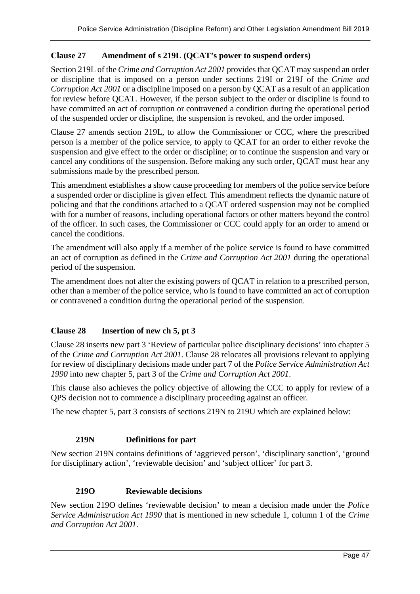#### **Clause 27 Amendment of s 219L (QCAT's power to suspend orders)**

Section 219L of the *Crime and Corruption Act 2001* provides that QCAT may suspend an order or discipline that is imposed on a person under sections 219I or 219J of the *Crime and Corruption Act 2001* or a discipline imposed on a person by QCAT as a result of an application for review before QCAT. However, if the person subject to the order or discipline is found to have committed an act of corruption or contravened a condition during the operational period of the suspended order or discipline, the suspension is revoked, and the order imposed.

Clause 27 amends section 219L, to allow the Commissioner or CCC, where the prescribed person is a member of the police service, to apply to QCAT for an order to either revoke the suspension and give effect to the order or discipline; or to continue the suspension and vary or cancel any conditions of the suspension. Before making any such order, QCAT must hear any submissions made by the prescribed person.

This amendment establishes a show cause proceeding for members of the police service before a suspended order or discipline is given effect. This amendment reflects the dynamic nature of policing and that the conditions attached to a QCAT ordered suspension may not be complied with for a number of reasons, including operational factors or other matters beyond the control of the officer. In such cases, the Commissioner or CCC could apply for an order to amend or cancel the conditions.

The amendment will also apply if a member of the police service is found to have committed an act of corruption as defined in the *Crime and Corruption Act 2001* during the operational period of the suspension.

The amendment does not alter the existing powers of QCAT in relation to a prescribed person, other than a member of the police service, who is found to have committed an act of corruption or contravened a condition during the operational period of the suspension.

#### **Clause 28 Insertion of new ch 5, pt 3**

Clause 28 inserts new part 3 'Review of particular police disciplinary decisions' into chapter 5 of the *Crime and Corruption Act 2001*. Clause 28 relocates all provisions relevant to applying for review of disciplinary decisions made under part 7 of the *Police Service Administration Act 1990* into new chapter 5, part 3 of the *Crime and Corruption Act 2001*.

This clause also achieves the policy objective of allowing the CCC to apply for review of a QPS decision not to commence a disciplinary proceeding against an officer.

The new chapter 5, part 3 consists of sections 219N to 219U which are explained below:

#### **219N Definitions for part**

New section 219N contains definitions of 'aggrieved person', 'disciplinary sanction', 'ground for disciplinary action', 'reviewable decision' and 'subject officer' for part 3.

#### **219O Reviewable decisions**

New section 219O defines 'reviewable decision' to mean a decision made under the *Police Service Administration Act 1990* that is mentioned in new schedule 1, column 1 of the *Crime and Corruption Act 2001*.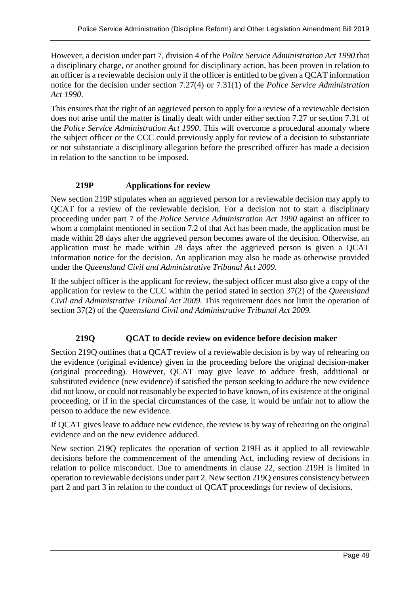However, a decision under part 7, division 4 of the *Police Service Administration Act 1990* that a disciplinary charge, or another ground for disciplinary action, has been proven in relation to an officer is a reviewable decision only if the officer is entitled to be given a QCAT information notice for the decision under section 7.27(4) or 7.31(1) of the *Police Service Administration Act 1990*.

This ensures that the right of an aggrieved person to apply for a review of a reviewable decision does not arise until the matter is finally dealt with under either section 7.27 or section 7.31 of the *Police Service Administration Act 1990*. This will overcome a procedural anomaly where the subject officer or the CCC could previously apply for review of a decision to substantiate or not substantiate a disciplinary allegation before the prescribed officer has made a decision in relation to the sanction to be imposed.

# **219P Applications for review**

New section 219P stipulates when an aggrieved person for a reviewable decision may apply to QCAT for a review of the reviewable decision. For a decision not to start a disciplinary proceeding under part 7 of the *Police Service Administration Act 1990* against an officer to whom a complaint mentioned in section 7.2 of that Act has been made, the application must be made within 28 days after the aggrieved person becomes aware of the decision. Otherwise, an application must be made within 28 days after the aggrieved person is given a QCAT information notice for the decision. An application may also be made as otherwise provided under the *Queensland Civil and Administrative Tribunal Act 2009*.

If the subject officer is the applicant for review, the subject officer must also give a copy of the application for review to the CCC within the period stated in section 37(2) of the *Queensland Civil and Administrative Tribunal Act 2009*. This requirement does not limit the operation of section 37(2) of the *Queensland Civil and Administrative Tribunal Act 2009.*

# **219Q QCAT to decide review on evidence before decision maker**

Section 219Q outlines that a QCAT review of a reviewable decision is by way of rehearing on the evidence (original evidence) given in the proceeding before the original decision-maker (original proceeding). However, QCAT may give leave to adduce fresh, additional or substituted evidence (new evidence) if satisfied the person seeking to adduce the new evidence did not know, or could not reasonably be expected to have known, of its existence at the original proceeding, or if in the special circumstances of the case, it would be unfair not to allow the person to adduce the new evidence.

If QCAT gives leave to adduce new evidence, the review is by way of rehearing on the original evidence and on the new evidence adduced.

New section 219Q replicates the operation of section 219H as it applied to all reviewable decisions before the commencement of the amending Act, including review of decisions in relation to police misconduct. Due to amendments in clause 22, section 219H is limited in operation to reviewable decisions under part 2. New section 219Q ensures consistency between part 2 and part 3 in relation to the conduct of QCAT proceedings for review of decisions.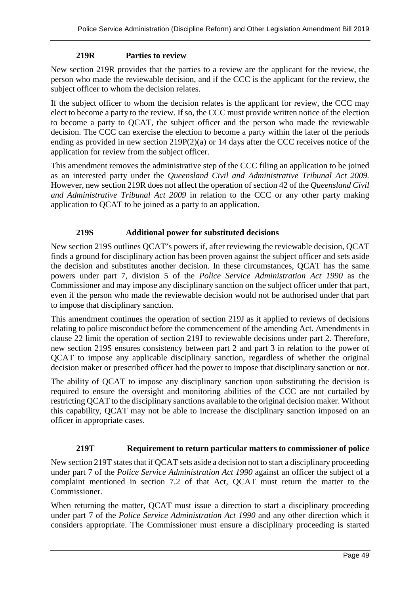#### **219R Parties to review**

New section 219R provides that the parties to a review are the applicant for the review, the person who made the reviewable decision, and if the CCC is the applicant for the review, the subject officer to whom the decision relates.

If the subject officer to whom the decision relates is the applicant for review, the CCC may elect to become a party to the review. If so, the CCC must provide written notice of the election to become a party to QCAT, the subject officer and the person who made the reviewable decision. The CCC can exercise the election to become a party within the later of the periods ending as provided in new section 219P(2)(a) or 14 days after the CCC receives notice of the application for review from the subject officer.

This amendment removes the administrative step of the CCC filing an application to be joined as an interested party under the *Queensland Civil and Administrative Tribunal Act 2009.* However, new section 219R does not affect the operation of section 42 of the *Queensland Civil and Administrative Tribunal Act 2009* in relation to the CCC or any other party making application to QCAT to be joined as a party to an application.

#### **219S Additional power for substituted decisions**

New section 219S outlines QCAT's powers if, after reviewing the reviewable decision, QCAT finds a ground for disciplinary action has been proven against the subject officer and sets aside the decision and substitutes another decision. In these circumstances, QCAT has the same powers under part 7, division 5 of the *Police Service Administration Act 1990* as the Commissioner and may impose any disciplinary sanction on the subject officer under that part, even if the person who made the reviewable decision would not be authorised under that part to impose that disciplinary sanction.

This amendment continues the operation of section 219J as it applied to reviews of decisions relating to police misconduct before the commencement of the amending Act. Amendments in clause 22 limit the operation of section 219J to reviewable decisions under part 2. Therefore, new section 219S ensures consistency between part 2 and part 3 in relation to the power of QCAT to impose any applicable disciplinary sanction, regardless of whether the original decision maker or prescribed officer had the power to impose that disciplinary sanction or not.

The ability of QCAT to impose any disciplinary sanction upon substituting the decision is required to ensure the oversight and monitoring abilities of the CCC are not curtailed by restricting QCAT to the disciplinary sanctions available to the original decision maker. Without this capability, QCAT may not be able to increase the disciplinary sanction imposed on an officer in appropriate cases.

#### **219T Requirement to return particular matters to commissioner of police**

New section 219T states that if QCAT sets aside a decision not to start a disciplinary proceeding under part 7 of the *Police Service Administration Act 1990* against an officer the subject of a complaint mentioned in section 7.2 of that Act, QCAT must return the matter to the Commissioner.

When returning the matter, OCAT must issue a direction to start a disciplinary proceeding under part 7 of the *Police Service Administration Act 1990* and any other direction which it considers appropriate. The Commissioner must ensure a disciplinary proceeding is started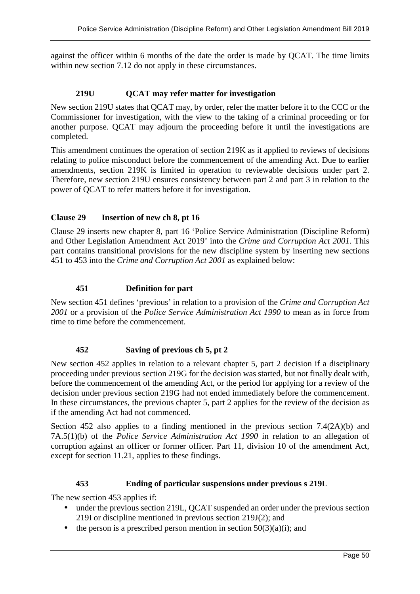against the officer within 6 months of the date the order is made by QCAT. The time limits within new section 7.12 do not apply in these circumstances.

#### **219U QCAT may refer matter for investigation**

New section 219U states that QCAT may, by order, refer the matter before it to the CCC or the Commissioner for investigation, with the view to the taking of a criminal proceeding or for another purpose. QCAT may adjourn the proceeding before it until the investigations are completed.

This amendment continues the operation of section 219K as it applied to reviews of decisions relating to police misconduct before the commencement of the amending Act. Due to earlier amendments, section 219K is limited in operation to reviewable decisions under part 2. Therefore, new section 219U ensures consistency between part 2 and part 3 in relation to the power of QCAT to refer matters before it for investigation.

#### **Clause 29 Insertion of new ch 8, pt 16**

Clause 29 inserts new chapter 8, part 16 'Police Service Administration (Discipline Reform) and Other Legislation Amendment Act 2019' into the *Crime and Corruption Act 2001*. This part contains transitional provisions for the new discipline system by inserting new sections 451 to 453 into the *Crime and Corruption Act 2001* as explained below:

#### **451 Definition for part**

New section 451 defines 'previous' in relation to a provision of the *Crime and Corruption Act 2001* or a provision of the *Police Service Administration Act 1990* to mean as in force from time to time before the commencement.

#### **452 Saving of previous ch 5, pt 2**

New section 452 applies in relation to a relevant chapter 5, part 2 decision if a disciplinary proceeding under previous section 219G for the decision was started, but not finally dealt with, before the commencement of the amending Act, or the period for applying for a review of the decision under previous section 219G had not ended immediately before the commencement. In these circumstances, the previous chapter 5, part 2 applies for the review of the decision as if the amending Act had not commenced.

Section 452 also applies to a finding mentioned in the previous section 7.4(2A)(b) and 7A.5(1)(b) of the *Police Service Administration Act 1990* in relation to an allegation of corruption against an officer or former officer. Part 11, division 10 of the amendment Act, except for section 11.21, applies to these findings.

#### **453 Ending of particular suspensions under previous s 219L**

The new section 453 applies if:

- under the previous section 219L, QCAT suspended an order under the previous section 219I or discipline mentioned in previous section 219J(2); and
- the person is a prescribed person mention in section  $50(3)(a)(i)$ ; and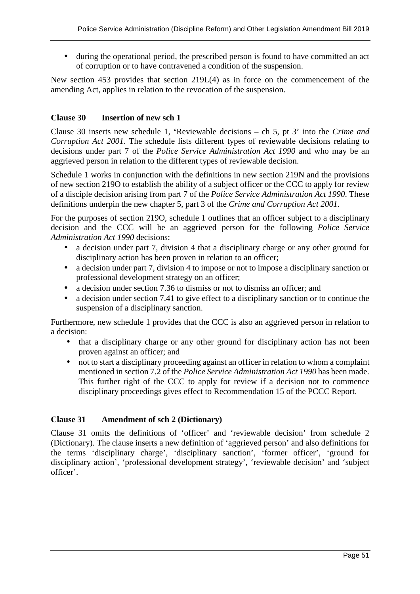• during the operational period, the prescribed person is found to have committed an act of corruption or to have contravened a condition of the suspension.

New section 453 provides that section 219L(4) as in force on the commencement of the amending Act, applies in relation to the revocation of the suspension.

#### **Clause 30 Insertion of new sch 1**

Clause 30 inserts new schedule 1, **'**Reviewable decisions – ch 5, pt 3' into the *Crime and Corruption Act 2001*. The schedule lists different types of reviewable decisions relating to decisions under part 7 of the *Police Service Administration Act 1990* and who may be an aggrieved person in relation to the different types of reviewable decision.

Schedule 1 works in conjunction with the definitions in new section 219N and the provisions of new section 219O to establish the ability of a subject officer or the CCC to apply for review of a disciple decision arising from part 7 of the *Police Service Administration Act 1990*. These definitions underpin the new chapter 5, part 3 of the *Crime and Corruption Act 2001.*

For the purposes of section 219O, schedule 1 outlines that an officer subject to a disciplinary decision and the CCC will be an aggrieved person for the following *Police Service Administration Act 1990* decisions:

- a decision under part 7, division 4 that a disciplinary charge or any other ground for disciplinary action has been proven in relation to an officer;
- a decision under part 7, division 4 to impose or not to impose a disciplinary sanction or professional development strategy on an officer;
- a decision under section 7.36 to dismiss or not to dismiss an officer; and
- a decision under section 7.41 to give effect to a disciplinary sanction or to continue the suspension of a disciplinary sanction.

Furthermore, new schedule 1 provides that the CCC is also an aggrieved person in relation to a decision:

- that a disciplinary charge or any other ground for disciplinary action has not been proven against an officer; and
- not to start a disciplinary proceeding against an officer in relation to whom a complaint mentioned in section 7.2 of the *Police Service Administration Act 1990* has been made. This further right of the CCC to apply for review if a decision not to commence disciplinary proceedings gives effect to Recommendation 15 of the PCCC Report.

# **Clause 31 Amendment of sch 2 (Dictionary)**

Clause 31 omits the definitions of 'officer' and 'reviewable decision' from schedule 2 (Dictionary). The clause inserts a new definition of 'aggrieved person' and also definitions for the terms 'disciplinary charge', 'disciplinary sanction', 'former officer', 'ground for disciplinary action', 'professional development strategy', 'reviewable decision' and 'subject officer'.